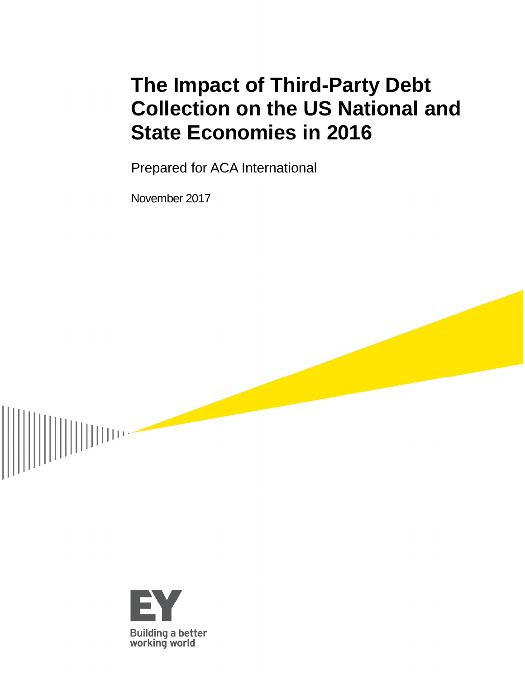# **The Impact of Third-Party Debt Collection on the US National and State Economies in 2016**

Prepared for ACA International

November 2017



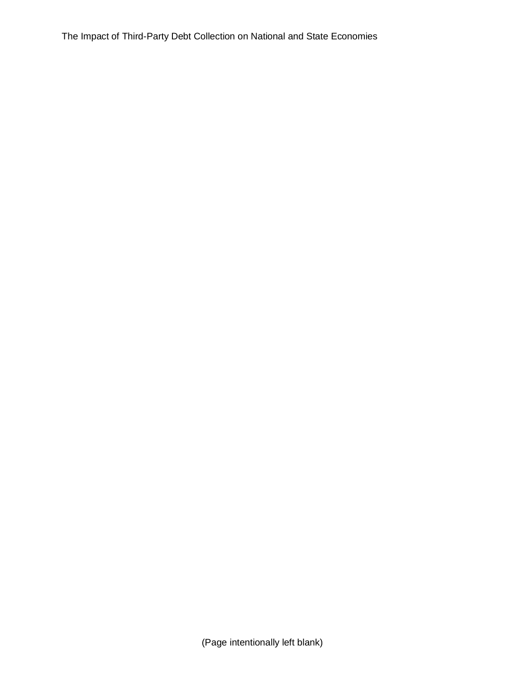The Impact of Third-Party Debt Collection on National and State Economies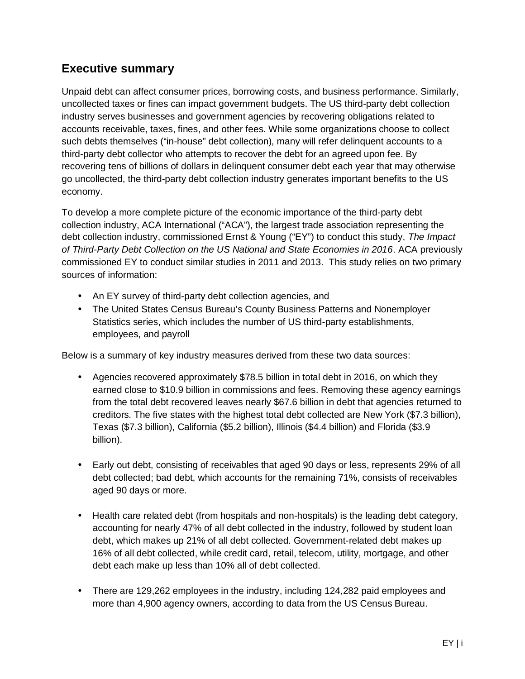### **Executive summary**

Unpaid debt can affect consumer prices, borrowing costs, and business performance. Similarly, uncollected taxes or fines can impact government budgets. The US third-party debt collection industry serves businesses and government agencies by recovering obligations related to accounts receivable, taxes, fines, and other fees. While some organizations choose to collect such debts themselves ("in-house" debt collection), many will refer delinquent accounts to a third-party debt collector who attempts to recover the debt for an agreed upon fee. By recovering tens of billions of dollars in delinquent consumer debt each year that may otherwise go uncollected, the third-party debt collection industry generates important benefits to the US economy.

To develop a more complete picture of the economic importance of the third-party debt collection industry, ACA International ("ACA"), the largest trade association representing the debt collection industry, commissioned Ernst & Young ("EY") to conduct this study, *The Impact of Third-Party Debt Collection on the US National and State Economies in 2016*. ACA previously commissioned EY to conduct similar studies in 2011 and 2013. This study relies on two primary sources of information:

- An EY survey of third-party debt collection agencies, and
- The United States Census Bureau's County Business Patterns and Nonemployer Statistics series, which includes the number of US third-party establishments, employees, and payroll

Below is a summary of key industry measures derived from these two data sources:

- Agencies recovered approximately \$78.5 billion in total debt in 2016, on which they earned close to \$10.9 billion in commissions and fees. Removing these agency earnings from the total debt recovered leaves nearly \$67.6 billion in debt that agencies returned to creditors. The five states with the highest total debt collected are New York (\$7.3 billion), Texas (\$7.3 billion), California (\$5.2 billion), Illinois (\$4.4 billion) and Florida (\$3.9 billion).
- Early out debt, consisting of receivables that aged 90 days or less, represents 29% of all debt collected; bad debt, which accounts for the remaining 71%, consists of receivables aged 90 days or more.
- Health care related debt (from hospitals and non-hospitals) is the leading debt category, accounting for nearly 47% of all debt collected in the industry, followed by student loan debt, which makes up 21% of all debt collected. Government-related debt makes up 16% of all debt collected, while credit card, retail, telecom, utility, mortgage, and other debt each make up less than 10% all of debt collected.
- There are 129,262 employees in the industry, including 124,282 paid employees and more than 4,900 agency owners, according to data from the US Census Bureau.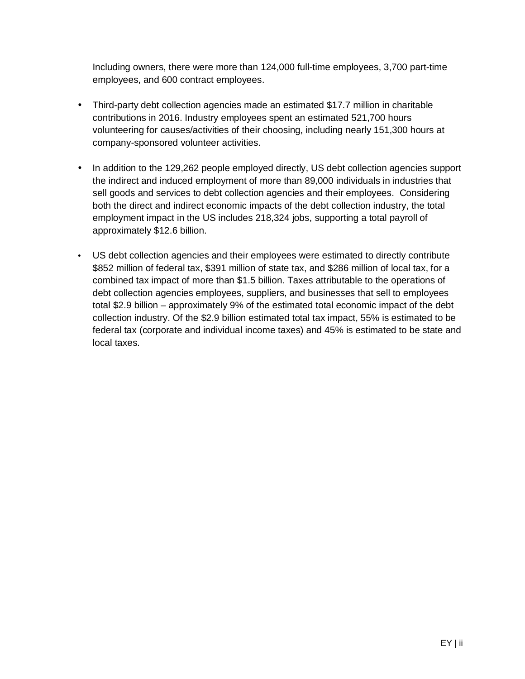Including owners, there were more than 124,000 full-time employees, 3,700 part-time employees, and 600 contract employees.

- Third-party debt collection agencies made an estimated \$17.7 million in charitable contributions in 2016. Industry employees spent an estimated 521,700 hours volunteering for causes/activities of their choosing, including nearly 151,300 hours at company-sponsored volunteer activities.
- In addition to the 129,262 people employed directly, US debt collection agencies support the indirect and induced employment of more than 89,000 individuals in industries that sell goods and services to debt collection agencies and their employees. Considering both the direct and indirect economic impacts of the debt collection industry, the total employment impact in the US includes 218,324 jobs, supporting a total payroll of approximately \$12.6 billion.
- US debt collection agencies and their employees were estimated to directly contribute ä, \$852 million of federal tax, \$391 million of state tax, and \$286 million of local tax, for a combined tax impact of more than \$1.5 billion. Taxes attributable to the operations of debt collection agencies employees, suppliers, and businesses that sell to employees total \$2.9 billion – approximately 9% of the estimated total economic impact of the debt collection industry. Of the \$2.9 billion estimated total tax impact, 55% is estimated to be federal tax (corporate and individual income taxes) and 45% is estimated to be state and local taxes.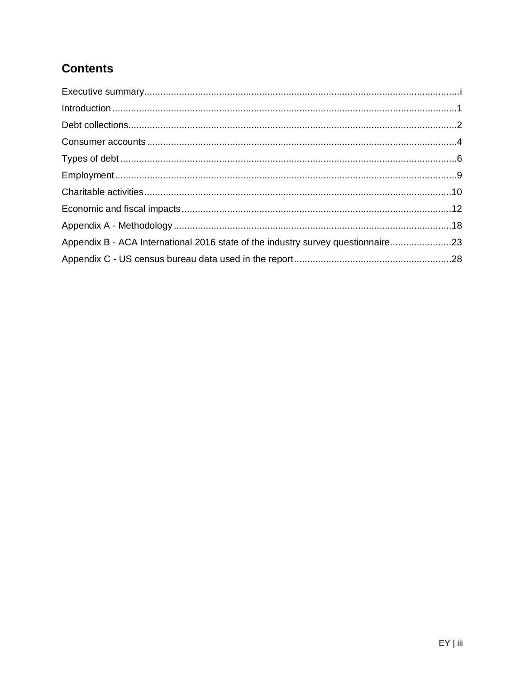# **Contents**

| Appendix B - ACA International 2016 state of the industry survey questionnaire23 |  |
|----------------------------------------------------------------------------------|--|
|                                                                                  |  |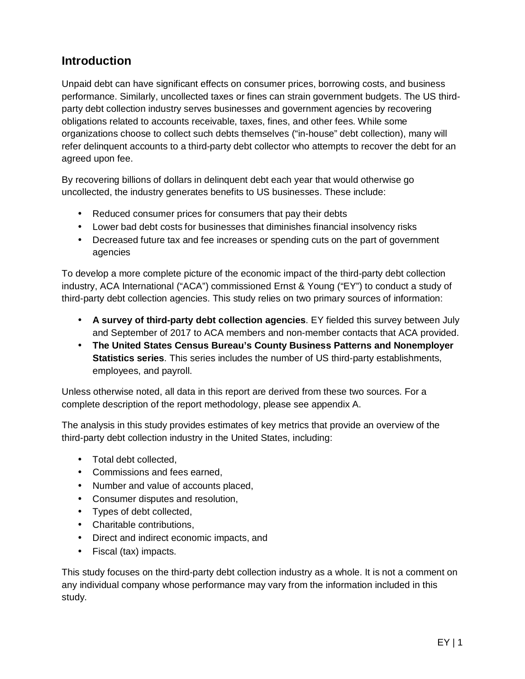# **Introduction**

Unpaid debt can have significant effects on consumer prices, borrowing costs, and business performance. Similarly, uncollected taxes or fines can strain government budgets. The US thirdparty debt collection industry serves businesses and government agencies by recovering obligations related to accounts receivable, taxes, fines, and other fees. While some organizations choose to collect such debts themselves ("in-house" debt collection), many will refer delinquent accounts to a third-party debt collector who attempts to recover the debt for an agreed upon fee.

By recovering billions of dollars in delinquent debt each year that would otherwise go uncollected, the industry generates benefits to US businesses. These include:

- Reduced consumer prices for consumers that pay their debts
- Lower bad debt costs for businesses that diminishes financial insolvency risks
- Decreased future tax and fee increases or spending cuts on the part of government agencies

To develop a more complete picture of the economic impact of the third-party debt collection industry, ACA International ("ACA") commissioned Ernst & Young ("EY") to conduct a study of third-party debt collection agencies. This study relies on two primary sources of information:

- **A survey of third-party debt collection agencies**. EY fielded this survey between July and September of 2017 to ACA members and non-member contacts that ACA provided.
- **The United States Census Bureau's County Business Patterns and Nonemployer Statistics series**. This series includes the number of US third-party establishments, employees, and payroll.

Unless otherwise noted, all data in this report are derived from these two sources. For a complete description of the report methodology, please see appendix A.

The analysis in this study provides estimates of key metrics that provide an overview of the third-party debt collection industry in the United States, including:

- Total debt collected,
- Commissions and fees earned,
- Number and value of accounts placed,
- Consumer disputes and resolution,
- Types of debt collected,
- Charitable contributions,
- Direct and indirect economic impacts, and
- Fiscal (tax) impacts.

This study focuses on the third-party debt collection industry as a whole. It is not a comment on any individual company whose performance may vary from the information included in this study.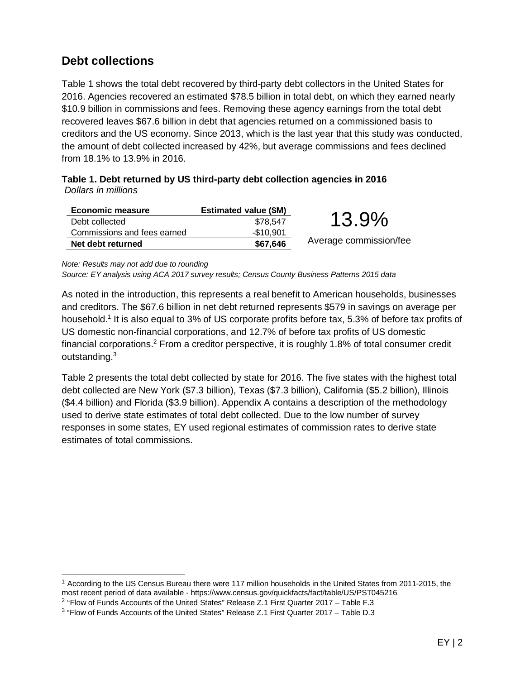# **Debt collections**

Table 1 shows the total debt recovered by third-party debt collectors in the United States for 2016. Agencies recovered an estimated \$78.5 billion in total debt, on which they earned nearly \$10.9 billion in commissions and fees. Removing these agency earnings from the total debt recovered leaves \$67.6 billion in debt that agencies returned on a commissioned basis to creditors and the US economy. Since 2013, which is the last year that this study was conducted, the amount of debt collected increased by 42%, but average commissions and fees declined from 18.1% to 13.9% in 2016.

**Table 1. Debt returned by US third-party debt collection agencies in 2016**  *Dollars in millions*

| <b>Economic measure</b>     | Estimated value (\$M) |                        |
|-----------------------------|-----------------------|------------------------|
| Debt collected              | \$78,547              | 13.9%                  |
| Commissions and fees earned | $-$10,901$            |                        |
| Net debt returned           | \$67,646              | Average commission/fee |

*Note: Results may not add due to rounding*

*Source: EY analysis using ACA 2017 survey results; Census County Business Patterns 2015 data*

As noted in the introduction, this represents a real benefit to American households, businesses and creditors. The \$67.6 billion in net debt returned represents \$579 in savings on average per household.<sup>1</sup> It is also equal to 3% of US corporate profits before tax, 5.3% of before tax profits of US domestic non-financial corporations, and 12.7% of before tax profits of US domestic financial corporations.<sup>2</sup> From a creditor perspective, it is roughly 1.8% of total consumer credit outstanding.<sup>3</sup>

Table 2 presents the total debt collected by state for 2016. The five states with the highest total debt collected are New York (\$7.3 billion), Texas (\$7.3 billion), California (\$5.2 billion), Illinois (\$4.4 billion) and Florida (\$3.9 billion). Appendix A contains a description of the methodology used to derive state estimates of total debt collected. Due to the low number of survey responses in some states, EY used regional estimates of commission rates to derive state estimates of total commissions.

 $1$  According to the US Census Bureau there were 117 million households in the United States from 2011-2015, the most recent period of data available - https://www.census.gov/quickfacts/fact/table/US/PST045216

<sup>&</sup>lt;sup>2</sup> "Flow of Funds Accounts of the United States" Release Z.1 First Quarter 2017 - Table F.3

<sup>&</sup>lt;sup>3</sup> "Flow of Funds Accounts of the United States" Release Z.1 First Quarter 2017 - Table D.3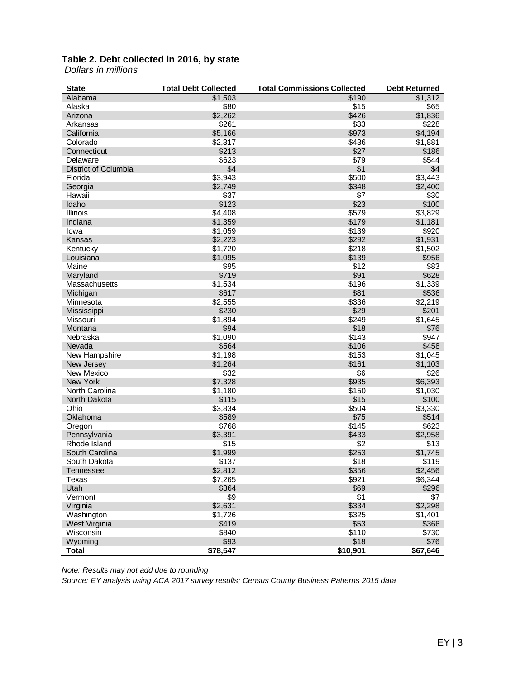#### **Table 2. Debt collected in 2016, by state**

 *Dollars in millions*

| <b>State</b>          | <b>Total Debt Collected</b> | <b>Total Commissions Collected</b> | <b>Debt Returned</b> |
|-----------------------|-----------------------------|------------------------------------|----------------------|
| Alabama               | \$1,503                     | \$190                              | \$1,312              |
| Alaska                | \$80                        | \$15                               | \$65                 |
| Arizona               | \$2,262                     | \$426                              | \$1,836              |
| Arkansas              | \$261                       | \$33                               | \$228                |
| California            | \$5,166                     | \$973                              | \$4,194              |
| Colorado              | \$2,317                     | \$436                              | \$1,881              |
| Connecticut           | \$213                       | \$27                               | \$186                |
| Delaware              | \$623                       | \$79                               | \$544                |
| District of Columbia  | \$4                         | \$1                                | \$4                  |
| Florida               | \$3,943                     | \$500                              | \$3,443              |
| Georgia               | \$2,749                     | \$348                              | \$2,400              |
| Hawaii                | \$37                        | \$7                                | \$30                 |
| Idaho                 | \$123                       | \$23                               | \$100                |
| Illinois              | \$4,408                     | \$579                              | \$3,829              |
| Indiana               | \$1,359                     | \$179                              | \$1,181              |
| lowa                  | \$1,059                     | \$139                              | \$920                |
| Kansas                | \$2,223                     | \$292                              | \$1,931              |
| Kentucky              | \$1,720                     | \$218                              | \$1,502              |
| Louisiana             | \$1,095                     | \$139                              | \$956                |
| Maine                 | \$95                        | \$12                               | \$83                 |
| Maryland              | \$719                       | \$91                               | \$628                |
| Massachusetts         | \$1,534                     | \$196                              | \$1,339              |
| Michigan              | \$617                       | \$81                               | \$536                |
| Minnesota             | \$2,555                     | \$336                              | \$2,219              |
| Mississippi           | \$230                       | \$29                               | \$201                |
| Missouri              | \$1,894                     | \$249                              | \$1,645              |
| Montana               | \$94                        | \$18                               | \$76                 |
| Nebraska              | \$1,090                     | \$143                              | \$947                |
| Nevada                | \$564                       | \$106                              | \$458                |
| New Hampshire         | \$1,198                     | \$153                              | \$1,045              |
| New Jersey            | \$1,264                     | \$161                              | \$1,103              |
| New Mexico            | \$32                        | \$6                                | \$26                 |
| New York              | \$7,328                     | \$935                              | \$6,393              |
| <b>North Carolina</b> | \$1,180                     | \$150                              | \$1,030              |
| North Dakota          | \$115                       | \$15                               | \$100                |
| Ohio                  | \$3,834                     | \$504                              | \$3,330              |
| Oklahoma              | \$589                       | \$75                               | \$514                |
| Oregon                | \$768                       | \$145                              | \$623                |
| Pennsylvania          | \$3,391                     | \$433                              | \$2,958              |
| Rhode Island          | \$15                        | \$2                                | \$13                 |
| South Carolina        | \$1,999                     | \$253                              | \$1,745              |
| South Dakota          | \$137                       | \$18                               | \$119                |
| Tennessee             | \$2,812                     | \$356                              | \$2,456              |
| Texas                 | \$7,265                     | \$921                              | \$6,344              |
| Utah                  | \$364                       | \$69                               | \$296                |
| Vermont               | \$9                         | \$1                                | \$7                  |
| Virginia              | \$2,631                     | \$334                              | \$2,298              |
| Washington            | \$1,726                     | \$325                              | \$1,401              |
| West Virginia         | \$419                       | \$53                               | \$366                |
| Wisconsin             | \$840                       | \$110                              | \$730                |
| Wyoming               | \$93                        | \$18                               | \$76                 |
| <b>Total</b>          | \$78,547                    | \$10,901                           | \$67,646             |

*Note: Results may not add due to rounding*

*Source: EY analysis using ACA 2017 survey results; Census County Business Patterns 2015 data*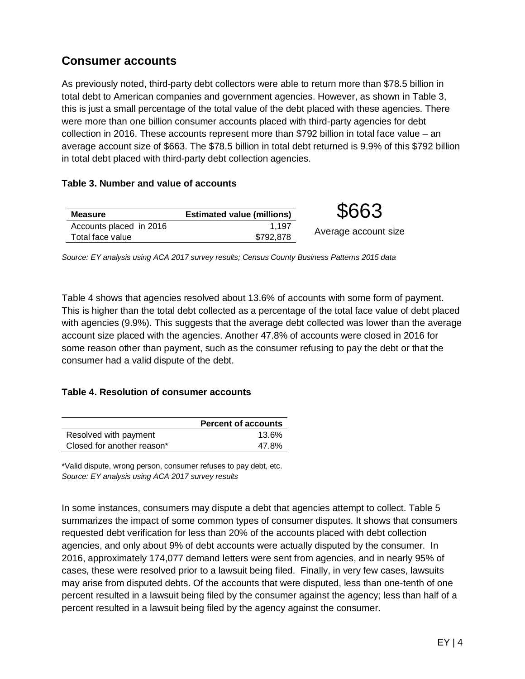# **Consumer accounts**

As previously noted, third-party debt collectors were able to return more than \$78.5 billion in total debt to American companies and government agencies. However, as shown in Table 3, this is just a small percentage of the total value of the debt placed with these agencies. There were more than one billion consumer accounts placed with third-party agencies for debt collection in 2016. These accounts represent more than \$792 billion in total face value – an average account size of \$663. The \$78.5 billion in total debt returned is 9.9% of this \$792 billion in total debt placed with third-party debt collection agencies.

### **Table 3. Number and value of accounts**

|                         |                                   | \$663                |
|-------------------------|-----------------------------------|----------------------|
| Measure                 | <b>Estimated value (millions)</b> |                      |
| Accounts placed in 2016 | 1.197                             | Average account size |
| Total face value        | \$792,878                         |                      |

*Source: EY analysis using ACA 2017 survey results; Census County Business Patterns 2015 data*

Table 4 shows that agencies resolved about 13.6% of accounts with some form of payment. This is higher than the total debt collected as a percentage of the total face value of debt placed with agencies (9.9%). This suggests that the average debt collected was lower than the average account size placed with the agencies. Another 47.8% of accounts were closed in 2016 for some reason other than payment, such as the consumer refusing to pay the debt or that the consumer had a valid dispute of the debt.

### **Table 4. Resolution of consumer accounts**

|                            | <b>Percent of accounts</b> |
|----------------------------|----------------------------|
| Resolved with payment      | 13.6%                      |
| Closed for another reason* | 47.8%                      |

\*Valid dispute, wrong person, consumer refuses to pay debt, etc. *Source: EY analysis using ACA 2017 survey results*

In some instances, consumers may dispute a debt that agencies attempt to collect. Table 5 summarizes the impact of some common types of consumer disputes. It shows that consumers requested debt verification for less than 20% of the accounts placed with debt collection agencies, and only about 9% of debt accounts were actually disputed by the consumer. In 2016, approximately 174,077 demand letters were sent from agencies, and in nearly 95% of cases, these were resolved prior to a lawsuit being filed. Finally, in very few cases, lawsuits may arise from disputed debts. Of the accounts that were disputed, less than one-tenth of one percent resulted in a lawsuit being filed by the consumer against the agency; less than half of a percent resulted in a lawsuit being filed by the agency against the consumer.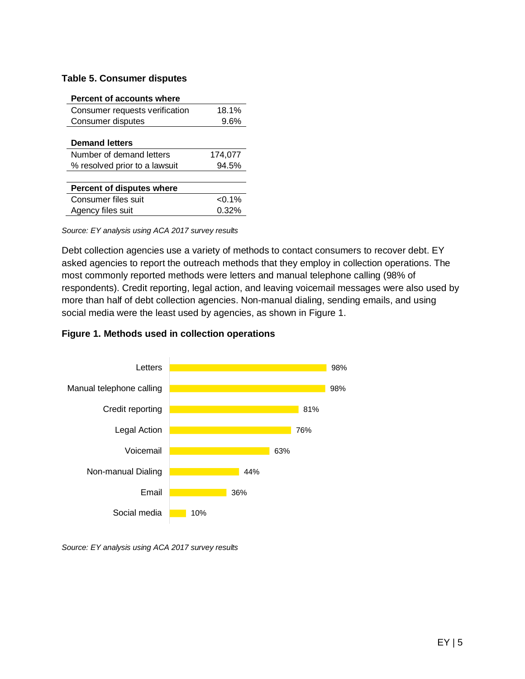### **Table 5. Consumer disputes**

| Percent of accounts where      |           |  |  |  |  |  |  |  |
|--------------------------------|-----------|--|--|--|--|--|--|--|
| Consumer requests verification | 18.1%     |  |  |  |  |  |  |  |
| <b>Consumer disputes</b>       | $9.6\%$   |  |  |  |  |  |  |  |
|                                |           |  |  |  |  |  |  |  |
| <b>Demand letters</b>          |           |  |  |  |  |  |  |  |
| Number of demand letters       | 174,077   |  |  |  |  |  |  |  |
| % resolved prior to a lawsuit  | 94.5%     |  |  |  |  |  |  |  |
|                                |           |  |  |  |  |  |  |  |
| Percent of disputes where      |           |  |  |  |  |  |  |  |
| Consumer files suit            | $< 0.1\%$ |  |  |  |  |  |  |  |
| Agency files suit              | $0.32\%$  |  |  |  |  |  |  |  |

#### *Source: EY analysis using ACA 2017 survey results*

Debt collection agencies use a variety of methods to contact consumers to recover debt. EY asked agencies to report the outreach methods that they employ in collection operations. The most commonly reported methods were letters and manual telephone calling (98% of respondents). Credit reporting, legal action, and leaving voicemail messages were also used by more than half of debt collection agencies. Non-manual dialing, sending emails, and using social media were the least used by agencies, as shown in Figure 1.

#### **Figure 1. Methods used in collection operations**



*Source: EY analysis using ACA 2017 survey results*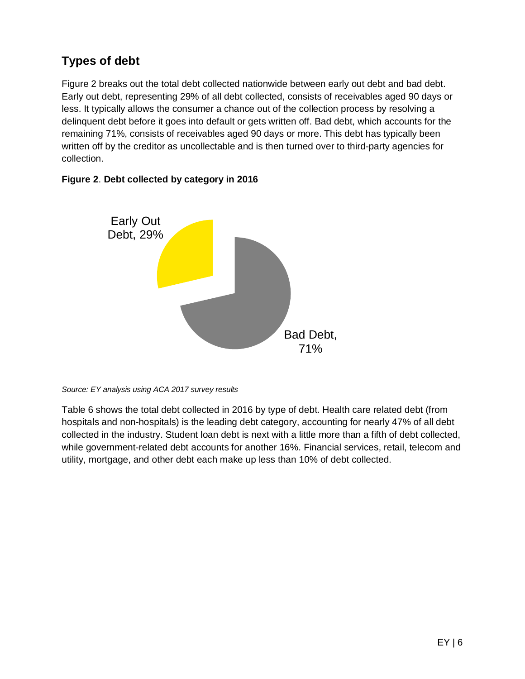# **Types of debt**

Figure 2 breaks out the total debt collected nationwide between early out debt and bad debt. Early out debt, representing 29% of all debt collected, consists of receivables aged 90 days or less. It typically allows the consumer a chance out of the collection process by resolving a delinquent debt before it goes into default or gets written off. Bad debt, which accounts for the remaining 71%, consists of receivables aged 90 days or more. This debt has typically been written off by the creditor as uncollectable and is then turned over to third-party agencies for collection.



### **Figure 2**. **Debt collected by category in 2016**

Table 6 shows the total debt collected in 2016 by type of debt. Health care related debt (from hospitals and non-hospitals) is the leading debt category, accounting for nearly 47% of all debt collected in the industry. Student loan debt is next with a little more than a fifth of debt collected, while government-related debt accounts for another 16%. Financial services, retail, telecom and utility, mortgage, and other debt each make up less than 10% of debt collected.

*Source: EY analysis using ACA 2017 survey results*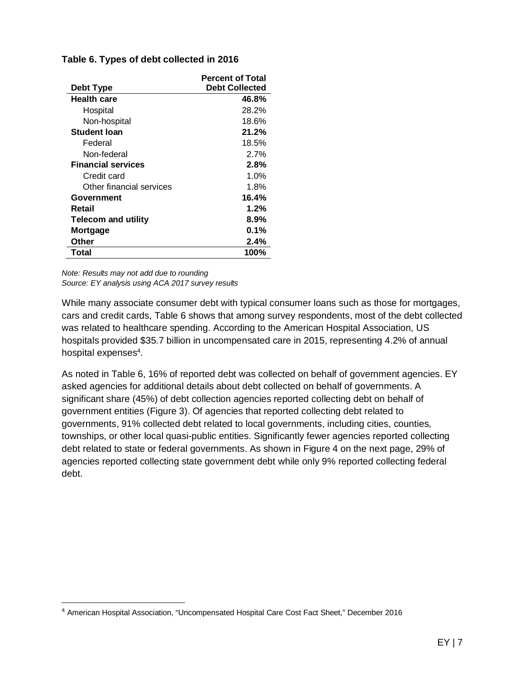### **Table 6. Types of debt collected in 2016**

|                            | <b>Percent of Total</b> |
|----------------------------|-------------------------|
| Debt Type                  | <b>Debt Collected</b>   |
| <b>Health care</b>         | 46.8%                   |
| Hospital                   | 28.2%                   |
| Non-hospital               | 18.6%                   |
| Student Ioan               | 21.2%                   |
| Federal                    | 18.5%                   |
| Non-federal                | 2.7%                    |
| <b>Financial services</b>  | 2.8%                    |
| Credit card                | 1.0%                    |
| Other financial services   | 1.8%                    |
| Government                 | 16.4%                   |
| Retail                     | $1.2\%$                 |
| <b>Telecom and utility</b> | 8.9%                    |
| Mortgage                   | $0.1\%$                 |
| Other                      | $2.4\%$                 |
| Total                      | 100%                    |

*Note: Results may not add due to rounding Source: EY analysis using ACA 2017 survey results*

While many associate consumer debt with typical consumer loans such as those for mortgages, cars and credit cards, Table 6 shows that among survey respondents, most of the debt collected was related to healthcare spending. According to the American Hospital Association, US hospitals provided \$35.7 billion in uncompensated care in 2015, representing 4.2% of annual hospital expenses<sup>4</sup>.

As noted in Table 6, 16% of reported debt was collected on behalf of government agencies. EY asked agencies for additional details about debt collected on behalf of governments. A significant share (45%) of debt collection agencies reported collecting debt on behalf of government entities (Figure 3). Of agencies that reported collecting debt related to governments, 91% collected debt related to local governments, including cities, counties, townships, or other local quasi-public entities. Significantly fewer agencies reported collecting debt related to state or federal governments. As shown in Figure 4 on the next page, 29% of agencies reported collecting state government debt while only 9% reported collecting federal debt.

<sup>4</sup> American Hospital Association, "Uncompensated Hospital Care Cost Fact Sheet," December 2016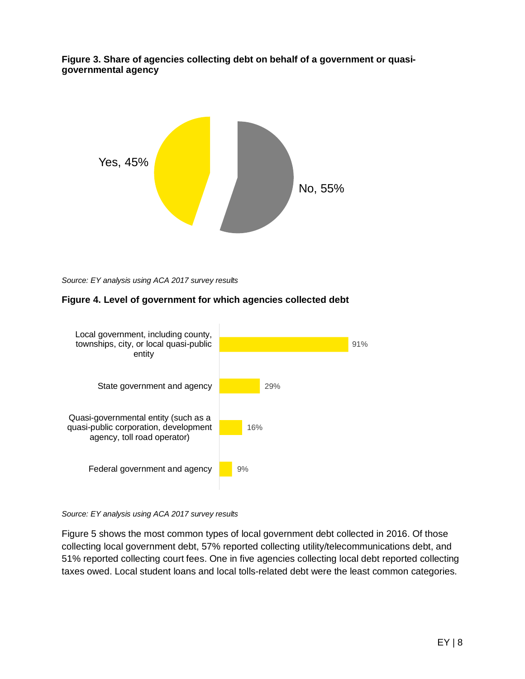### **Figure 3. Share of agencies collecting debt on behalf of a government or quasigovernmental agency**



*Source: EY analysis using ACA 2017 survey results*

### **Figure 4. Level of government for which agencies collected debt**



#### *Source: EY analysis using ACA 2017 survey results*

Figure 5 shows the most common types of local government debt collected in 2016. Of those collecting local government debt, 57% reported collecting utility/telecommunications debt, and 51% reported collecting court fees. One in five agencies collecting local debt reported collecting taxes owed. Local student loans and local tolls-related debt were the least common categories.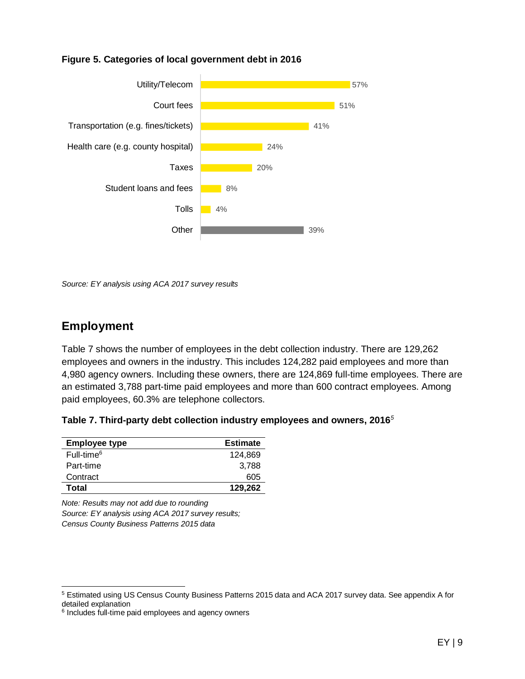### **Figure 5. Categories of local government debt in 2016**



*Source: EY analysis using ACA 2017 survey results*

### **Employment**

Table 7 shows the number of employees in the debt collection industry. There are 129,262 employees and owners in the industry. This includes 124,282 paid employees and more than 4,980 agency owners. Including these owners, there are 124,869 full-time employees. There are an estimated 3,788 part-time paid employees and more than 600 contract employees. Among paid employees, 60.3% are telephone collectors.

**Table 7. Third-party debt collection industry employees and owners, 2016***<sup>5</sup>*

| <b>Employee type</b>   | <b>Estimate</b> |
|------------------------|-----------------|
| Full-time <sup>6</sup> | 124.869         |
| Part-time              | 3,788           |
| Contract               | 605             |
| Total                  | 129,262         |

*Note: Results may not add due to rounding*

*Source: EY analysis using ACA 2017 survey results; Census County Business Patterns 2015 data*

<sup>&</sup>lt;sup>5</sup> Estimated using US Census County Business Patterns 2015 data and ACA 2017 survey data. See appendix A for detailed explanation

<sup>&</sup>lt;sup>6</sup> Includes full-time paid employees and agency owners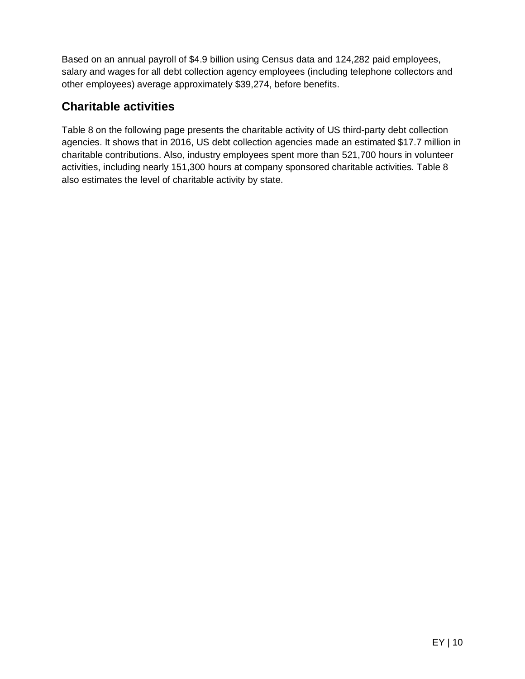Based on an annual payroll of \$4.9 billion using Census data and 124,282 paid employees, salary and wages for all debt collection agency employees (including telephone collectors and other employees) average approximately \$39,274, before benefits.

### **Charitable activities**

Table 8 on the following page presents the charitable activity of US third-party debt collection agencies. It shows that in 2016, US debt collection agencies made an estimated \$17.7 million in charitable contributions. Also, industry employees spent more than 521,700 hours in volunteer activities, including nearly 151,300 hours at company sponsored charitable activities. Table 8 also estimates the level of charitable activity by state.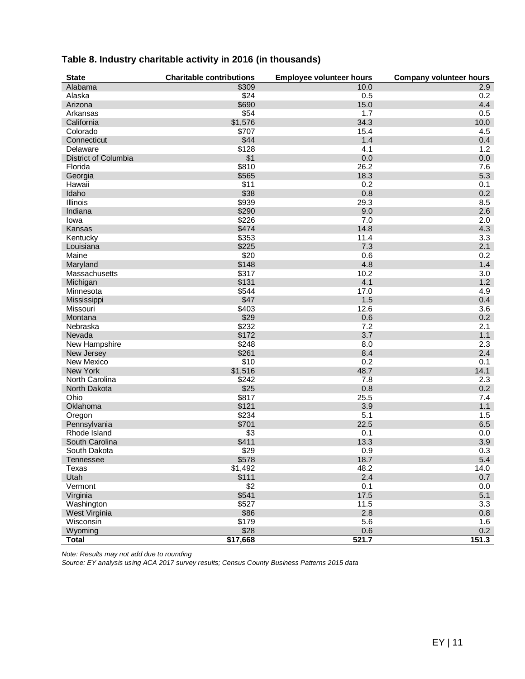| <b>State</b>               | <b>Charitable contributions</b> | <b>Employee volunteer hours</b> | <b>Company volunteer hours</b> |
|----------------------------|---------------------------------|---------------------------------|--------------------------------|
| Alabama                    | \$309                           | 10.0                            | 2.9                            |
| Alaska                     | \$24                            | 0.5                             | 0.2                            |
| Arizona                    | \$690                           | 15.0                            | 4.4                            |
| Arkansas                   | \$54                            | 1.7                             | 0.5                            |
| California                 | \$1,576                         | 34.3                            | 10.0                           |
| Colorado                   | \$707                           | 15.4                            | 4.5                            |
| Connecticut                | \$44                            | 1.4                             | 0.4                            |
| Delaware                   | \$128                           | 4.1                             | 1.2                            |
| District of Columbia       | \$1                             | 0.0                             | 0.0                            |
| Florida                    | \$810                           | 26.2                            | 7.6                            |
| Georgia                    | \$565                           | 18.3                            | 5.3                            |
| Hawaii                     | \$11                            | 0.2                             | 0.1                            |
| Idaho                      | \$38                            | 0.8                             | 0.2                            |
| Illinois                   | \$939                           | 29.3                            | 8.5                            |
| Indiana                    | \$290                           | 9.0                             | 2.6                            |
| lowa                       | \$226                           | 7.0                             | 2.0                            |
| Kansas                     | \$474                           | 14.8                            | 4.3                            |
| Kentucky                   | \$353                           | 11.4                            | 3.3                            |
| Louisiana                  | \$225                           | 7.3                             | 2.1                            |
| Maine                      | \$20                            | 0.6                             | 0.2                            |
| Maryland                   | \$148                           | 4.8                             | 1.4                            |
| Massachusetts              | \$317                           | 10.2                            | 3.0                            |
| Michigan                   | \$131                           | 4.1                             | 1.2                            |
| Minnesota                  | \$544                           | 17.0                            | 4.9                            |
| Mississippi                | \$47                            | 1.5                             | 0.4                            |
| Missouri                   | \$403                           | 12.6                            | 3.6                            |
| Montana                    | \$29                            | 0.6                             | 0.2                            |
| Nebraska                   | \$232                           | 7.2                             | 2.1                            |
| Nevada                     | \$172                           | 3.7                             | 1.1                            |
| New Hampshire              | \$248                           | 8.0                             | 2.3                            |
| New Jersey                 | \$261                           | 8.4                             | 2.4                            |
| New Mexico                 | \$10                            | 0.2                             | 0.1                            |
| New York                   | \$1,516                         | 48.7                            | 14.1                           |
| North Carolina             | \$242                           | 7.8                             | 2.3                            |
| North Dakota               | \$25                            | 0.8                             | 0.2                            |
| Ohio                       | \$817                           | 25.5                            | 7.4                            |
| Oklahoma                   | \$121                           | 3.9                             | 1.1                            |
| Oregon                     | \$234                           | 5.1                             | 1.5                            |
| Pennsylvania               | \$701                           | 22.5                            | 6.5                            |
| Rhode Island               | \$3                             | 0.1                             | 0.0                            |
| South Carolina             | \$411                           | 13.3                            | 3.9                            |
| South Dakota               | \$29                            | 0.9                             | 0.3                            |
|                            |                                 |                                 |                                |
| I ennessee<br>Texas        | \$578<br>\$1,492                | 18.7<br>48.2                    | $5.4^{\circ}$<br>14.0          |
| Utah                       | \$111                           | 2.4                             | 0.7                            |
| Vermont                    | \$2                             | 0.1                             | 0.0                            |
|                            | \$541                           | 17.5                            | 5.1                            |
| Virginia<br>Washington     | \$527                           | 11.5                            | 3.3                            |
|                            |                                 | 2.8                             |                                |
| West Virginia<br>Wisconsin | \$86<br>\$179                   |                                 | 0.8                            |
| Wyoming                    | \$28                            | 5.6<br>0.6                      | 1.6<br>0.2                     |
| <b>Total</b>               | \$17,668                        | 521.7                           | 151.3                          |
|                            |                                 |                                 |                                |

### **Table 8. Industry charitable activity in 2016 (in thousands)**

*Note: Results may not add due to rounding*

*Source: EY analysis using ACA 2017 survey results; Census County Business Patterns 2015 data*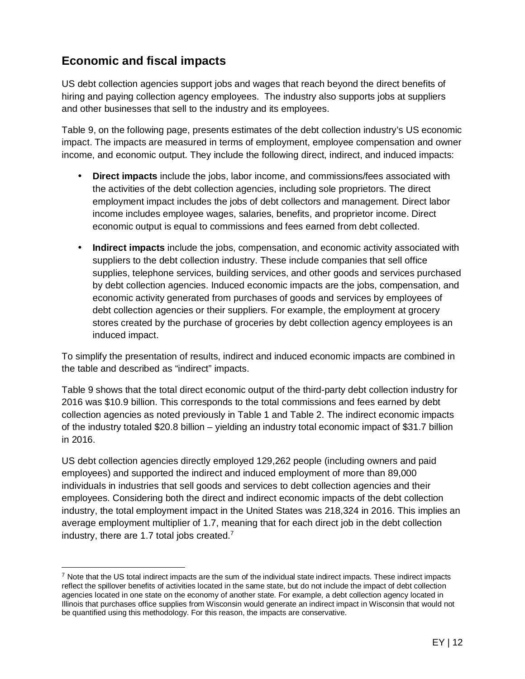# **Economic and fiscal impacts**

US debt collection agencies support jobs and wages that reach beyond the direct benefits of hiring and paying collection agency employees. The industry also supports jobs at suppliers and other businesses that sell to the industry and its employees.

Table 9, on the following page, presents estimates of the debt collection industry's US economic impact. The impacts are measured in terms of employment, employee compensation and owner income, and economic output. They include the following direct, indirect, and induced impacts:

- **Direct impacts** include the jobs, labor income, and commissions/fees associated with the activities of the debt collection agencies, including sole proprietors. The direct employment impact includes the jobs of debt collectors and management. Direct labor income includes employee wages, salaries, benefits, and proprietor income. Direct economic output is equal to commissions and fees earned from debt collected.
- **Indirect impacts** include the jobs, compensation, and economic activity associated with suppliers to the debt collection industry. These include companies that sell office supplies, telephone services, building services, and other goods and services purchased by debt collection agencies. Induced economic impacts are the jobs, compensation, and economic activity generated from purchases of goods and services by employees of debt collection agencies or their suppliers. For example, the employment at grocery stores created by the purchase of groceries by debt collection agency employees is an induced impact.

To simplify the presentation of results, indirect and induced economic impacts are combined in the table and described as "indirect" impacts.

Table 9 shows that the total direct economic output of the third-party debt collection industry for 2016 was \$10.9 billion. This corresponds to the total commissions and fees earned by debt collection agencies as noted previously in Table 1 and Table 2. The indirect economic impacts of the industry totaled \$20.8 billion – yielding an industry total economic impact of \$31.7 billion in 2016.

US debt collection agencies directly employed 129,262 people (including owners and paid employees) and supported the indirect and induced employment of more than 89,000 individuals in industries that sell goods and services to debt collection agencies and their employees. Considering both the direct and indirect economic impacts of the debt collection industry, the total employment impact in the United States was 218,324 in 2016. This implies an average employment multiplier of 1.7, meaning that for each direct job in the debt collection industry, there are 1.7 total jobs created. $<sup>7</sup>$ </sup>

 $<sup>7</sup>$  Note that the US total indirect impacts are the sum of the individual state indirect impacts. These indirect impacts</sup> reflect the spillover benefits of activities located in the same state, but do not include the impact of debt collection agencies located in one state on the economy of another state. For example, a debt collection agency located in Illinois that purchases office supplies from Wisconsin would generate an indirect impact in Wisconsin that would not be quantified using this methodology. For this reason, the impacts are conservative.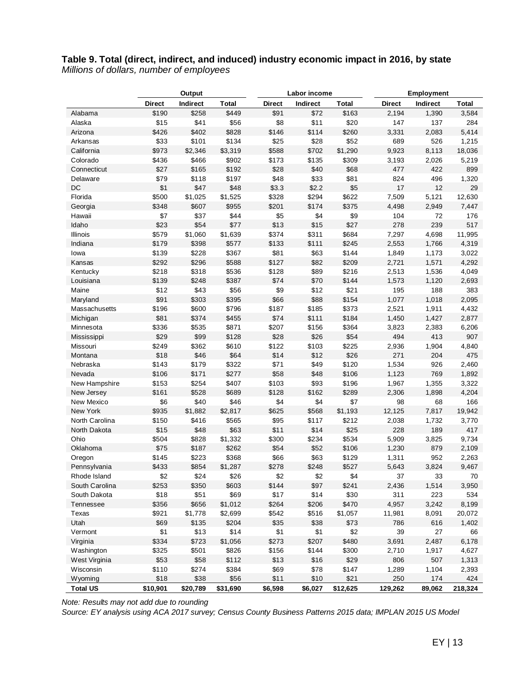### **Table 9. Total (direct, indirect, and induced) industry economic impact in 2016, by state** *Millions of dollars, number of employees*

|                 |               | Output   |              |               | Labor income |              |               | Employment |              |  |  |
|-----------------|---------------|----------|--------------|---------------|--------------|--------------|---------------|------------|--------------|--|--|
|                 | <b>Direct</b> | Indirect | <b>Total</b> | <b>Direct</b> | Indirect     | <b>Total</b> | <b>Direct</b> | Indirect   | <b>Total</b> |  |  |
| Alabama         | \$190         | \$258    | \$449        | \$91          | \$72         | \$163        | 2,194         | 1,390      | 3,584        |  |  |
| Alaska          | \$15          | \$41     | \$56         | \$8           | \$11         | \$20         | 147           | 137        | 284          |  |  |
| Arizona         | \$426         | \$402    | \$828        | \$146         | \$114        | \$260        | 3,331         | 2,083      | 5,414        |  |  |
| Arkansas        | \$33          | \$101    | \$134        | \$25          | \$28         | \$52         | 689           | 526        | 1,215        |  |  |
| California      | \$973         | \$2,346  | \$3,319      | \$588         | \$702        | \$1,290      | 9,923         | 8,113      | 18,036       |  |  |
| Colorado        | \$436         | \$466    | \$902        | \$173         | \$135        | \$309        | 3,193         | 2,026      | 5,219        |  |  |
| Connecticut     | \$27          | \$165    | \$192        | \$28          | \$40         | \$68         | 477           | 422        | 899          |  |  |
| Delaware        | \$79          | \$118    | \$197        | \$48          | \$33         | \$81         | 824           | 496        | 1,320        |  |  |
| DC              | \$1           | \$47     | \$48         | \$3.3         | \$2.2        | \$5          | 17            | 12         | 29           |  |  |
| Florida         | \$500         | \$1,025  | \$1,525      | \$328         | \$294        | \$622        | 7,509         | 5,121      | 12,630       |  |  |
| Georgia         | \$348         | \$607    | \$955        | \$201         | \$174        | \$375        | 4,498         | 2,949      | 7,447        |  |  |
| Hawaii          | \$7           | \$37     | \$44         | \$5           | \$4          | \$9          | 104           | 72         | 176          |  |  |
| Idaho           | \$23          | \$54     | \$77         | \$13          | \$15         | \$27         | 278           | 239        | 517          |  |  |
| Illinois        | \$579         | \$1,060  | \$1,639      | \$374         | \$311        | \$684        | 7,297         | 4,698      | 11,995       |  |  |
| Indiana         | \$179         | \$398    | \$577        | \$133         | \$111        | \$245        | 2,553         | 1,766      | 4,319        |  |  |
| lowa            | \$139         | \$228    | \$367        | \$81          | \$63         | \$144        | 1,849         | 1,173      | 3,022        |  |  |
| Kansas          | \$292         | \$296    | \$588        | \$127         | \$82         | \$209        | 2,721         | 1,571      | 4,292        |  |  |
| Kentucky        | \$218         | \$318    | \$536        | \$128         | \$89         | \$216        | 2,513         | 1,536      | 4,049        |  |  |
| Louisiana       | \$139         | \$248    | \$387        | \$74          | \$70         | \$144        | 1,573         | 1,120      | 2,693        |  |  |
| Maine           | \$12          | \$43     | \$56         | \$9           | \$12         | \$21         | 195           | 188        | 383          |  |  |
| Maryland        | \$91          | \$303    | \$395        | \$66          | \$88         | \$154        | 1,077         | 1,018      | 2,095        |  |  |
| Massachusetts   | \$196         | \$600    | \$796        | \$187         | \$185        | \$373        | 2,521         | 1,911      | 4,432        |  |  |
| Michigan        | \$81          | \$374    | \$455        | \$74          | \$111        | \$184        | 1,450         | 1,427      | 2,877        |  |  |
| Minnesota       | \$336         | \$535    | \$871        | \$207         | \$156        | \$364        | 3,823         | 2,383      | 6,206        |  |  |
| Mississippi     | \$29          | \$99     | \$128        | \$28          | \$26         | \$54         | 494           | 413        | 907          |  |  |
| Missouri        | \$249         | \$362    | \$610        | \$122         | \$103        | \$225        | 2,936         | 1,904      | 4,840        |  |  |
| Montana         | \$18          | \$46     | \$64         | \$14          | \$12         | \$26         | 271           | 204        | 475          |  |  |
| Nebraska        | \$143         | \$179    | \$322        | \$71          | \$49         | \$120        | 1,534         | 926        | 2,460        |  |  |
| Nevada          | \$106         | \$171    | \$277        | \$58          | \$48         | \$106        | 1,123         | 769        | 1,892        |  |  |
| New Hampshire   | \$153         | \$254    | \$407        | \$103         | \$93         | \$196        | 1,967         | 1,355      | 3,322        |  |  |
| New Jersey      | \$161         | \$528    | \$689        | \$128         | \$162        | \$289        | 2,306         | 1,898      | 4,204        |  |  |
| New Mexico      | \$6           | \$40     | \$46         | \$4           | \$4          | \$7          | 98            | 68         | 166          |  |  |
| New York        | \$935         | \$1,882  | \$2,817      | \$625         | \$568        | \$1,193      | 12,125        | 7,817      | 19,942       |  |  |
| North Carolina  | \$150         | \$416    | \$565        | \$95          | \$117        | \$212        | 2,038         | 1,732      | 3,770        |  |  |
| North Dakota    | \$15          | \$48     | \$63         | \$11          | \$14         | \$25         | 228           | 189        | 417          |  |  |
| Ohio            | \$504         | \$828    | \$1,332      | \$300         | \$234        | \$534        | 5,909         | 3,825      | 9,734        |  |  |
| Oklahoma        | \$75          | \$187    | \$262        | \$54          | \$52         | \$106        | 1,230         | 879        | 2,109        |  |  |
| Oregon          | \$145         | \$223    | \$368        | \$66          | \$63         | \$129        | 1,311         | 952        | 2,263        |  |  |
| Pennsylvania    | \$433         | \$854    | \$1,287      | \$278         | \$248        | \$527        | 5,643         | 3,824      | 9,467        |  |  |
| Rhode Island    | \$2           | \$24     | \$26         | \$2           | \$2          | \$4          | 37            | 33         | 70           |  |  |
| South Carolina  | \$253         | \$350    | \$603        | \$144         | \$97         | \$241        | 2,436         | 1,514      | 3,950        |  |  |
| South Dakota    | \$18          | \$51     | \$69         | \$17          | \$14         | \$30         | 311           | 223        | 534          |  |  |
| Tennessee       | \$356         | \$656    | \$1,012      | \$264         | \$206        | \$470        | 4,957         | 3,242      | 8,199        |  |  |
| Texas           | \$921         | \$1,778  | \$2,699      | \$542         | \$516        | \$1,057      | 11,981        | 8,091      | 20,072       |  |  |
| Utah            | \$69          | \$135    | \$204        | \$35          | \$38         | \$73         | 786           | 616        | 1,402        |  |  |
| Vermont         | \$1           | \$13     | \$14         | \$1           | \$1          | \$2          | 39            | 27         | 66           |  |  |
| Virginia        | \$334         | \$723    | \$1,056      | \$273         | \$207        | \$480        | 3,691         | 2,487      | 6,178        |  |  |
| Washington      | \$325         | \$501    | \$826        | \$156         | \$144        | \$300        | 2,710         | 1,917      | 4,627        |  |  |
| West Virginia   | \$53          | \$58     | \$112        | \$13          | \$16         | \$29         | 806           | 507        | 1,313        |  |  |
| Wisconsin       | \$110         | \$274    | \$384        | \$69          | \$78         | \$147        | 1,289         | 1,104      | 2,393        |  |  |
| Wyoming         | \$18          | \$38     | \$56         | \$11          | \$10         | \$21         | 250           | 174        | 424          |  |  |
| <b>Total US</b> | \$10,901      | \$20,789 | \$31,690     | \$6,598       | \$6,027      | \$12,625     | 129,262       | 89,062     | 218,324      |  |  |

*Note: Results may not add due to rounding*

*Source: EY analysis using ACA 2017 survey; Census County Business Patterns 2015 data; IMPLAN 2015 US Model*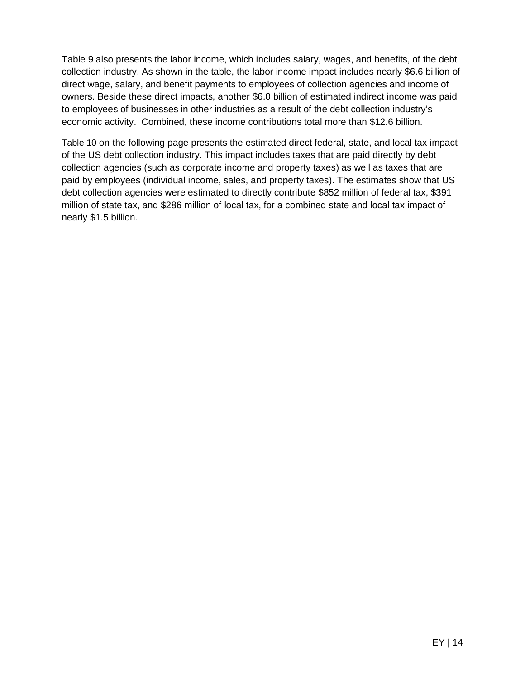Table 9 also presents the labor income, which includes salary, wages, and benefits, of the debt collection industry. As shown in the table, the labor income impact includes nearly \$6.6 billion of direct wage, salary, and benefit payments to employees of collection agencies and income of owners. Beside these direct impacts, another \$6.0 billion of estimated indirect income was paid to employees of businesses in other industries as a result of the debt collection industry's economic activity. Combined, these income contributions total more than \$12.6 billion.

Table 10 on the following page presents the estimated direct federal, state, and local tax impact of the US debt collection industry. This impact includes taxes that are paid directly by debt collection agencies (such as corporate income and property taxes) as well as taxes that are paid by employees (individual income, sales, and property taxes). The estimates show that US debt collection agencies were estimated to directly contribute \$852 million of federal tax, \$391 million of state tax, and \$286 million of local tax, for a combined state and local tax impact of nearly \$1.5 billion.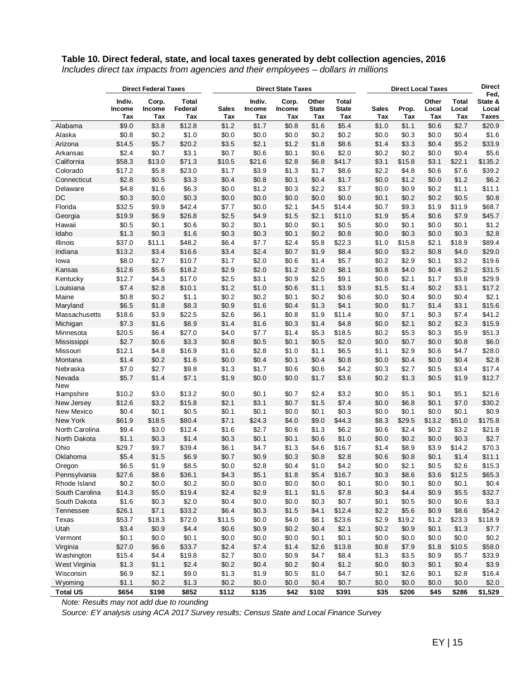#### **Table 10. Direct federal, state, and local taxes generated by debt collection agencies, 2016** *Includes direct tax impacts from agencies and their employees – dollars in millions*

|                      |                         | <b>Direct Federal Taxes</b>   |                         |                     | <b>Direct State Taxes</b> |                        |                              | <b>Direct Local Taxes</b>    |                     |              |                       | <b>Direct</b>                |                                   |
|----------------------|-------------------------|-------------------------------|-------------------------|---------------------|---------------------------|------------------------|------------------------------|------------------------------|---------------------|--------------|-----------------------|------------------------------|-----------------------------------|
|                      | Indiv.<br>Income<br>Tax | Corp.<br><b>Income</b><br>Tax | Total<br>Federal<br>Tax | <b>Sales</b><br>Tax | Indiv.<br>Income<br>Tax   | Corp.<br>Income<br>Tax | Other<br><b>State</b><br>Tax | Total<br><b>State</b><br>Tax | <b>Sales</b><br>Tax | Prop.<br>Tax | Other<br>Local<br>Tax | <b>Total</b><br>Local<br>Tax | Fed,<br>State &<br>Local<br>Taxes |
| Alabama              | \$9.0                   | \$3.8                         | \$12.8                  | \$1.2               | \$1.7                     | \$0.8                  | \$1.6                        | \$5.4                        | \$1.0               | \$1.1        | \$0.6                 | \$2.7                        | \$20.9                            |
| Alaska               | \$0.8                   | \$0.2                         | \$1.0                   | \$0.0               | \$0.0                     | \$0.0                  | \$0.2                        | \$0.2                        | \$0.0               | \$0.3        | \$0.0                 | \$0.4                        | \$1.6                             |
| Arizona              | \$14.5                  | \$5.7                         | \$20.2                  | \$3.5               | \$2.1                     | \$1.2                  | \$1.8                        | \$8.6                        | \$1.4               | \$3.3        | \$0.4                 | \$5.2                        | \$33.9                            |
| Arkansas             | \$2.4                   | \$0.7                         | \$3.1                   | \$0.7               | \$0.6                     | \$0.1                  | \$0.6                        | \$2.0                        | \$0.2               | \$0.2        | \$0.0                 | \$0.4                        | \$5.6                             |
| California           | \$58.3                  | \$13.0                        | \$71.3                  | \$10.5              | \$21.6                    | \$2.8                  | \$6.8                        | \$41.7                       | \$3.1               | \$15.8       | \$3.1                 | \$22.1                       | \$135.2                           |
| Colorado             | \$17.2                  | \$5.8                         | \$23.0                  | \$1.7               | \$3.9                     | \$1.3                  | \$1.7                        | \$8.6                        | \$2.2               | \$4.8        | \$0.6                 | \$7.6                        | \$39.2                            |
| Connecticut          | \$2.8                   | \$0.5                         | \$3.3                   | \$0.4               | \$0.8                     | \$0.1                  | \$0.4                        | \$1.7                        | \$0.0               | \$1.2        | \$0.0                 | \$1.2                        | \$6.2                             |
| Delaware             | \$4.8                   | \$1.6                         | \$6.3                   | \$0.0               | \$1.2                     | \$0.3                  | \$2.2                        | \$3.7                        | \$0.0               | \$0.9        | \$0.2                 | \$1.1                        | \$11.1                            |
| DC                   | \$0.3                   | \$0.0                         | \$0.3                   | \$0.0               | \$0.0                     | \$0.0                  | \$0.0                        | \$0.0                        | \$0.1               | \$0.2        | \$0.2                 | \$0.5                        | \$0.8                             |
| Florida              | \$32.5                  | \$9.9                         | \$42.4                  | \$7.7               | \$0.0                     | \$2.1                  | \$4.5                        | \$14.4                       | \$0.7               | \$9.3        | \$1.9                 | \$11.9                       | \$68.7                            |
| Georgia              | \$19.9                  | \$6.9                         | \$26.8                  | \$2.5               | \$4.9                     | \$1.5                  | \$2.1                        | \$11.0                       | \$1.9               | \$5.4        | \$0.6                 | \$7.9                        | \$45.7                            |
| Hawaii               | \$0.5                   | \$0.1                         | \$0.6                   | \$0.2               | \$0.1                     | \$0.0                  | \$0.1                        | \$0.5                        | \$0.0               | \$0.1        | \$0.0                 | \$0.1                        | \$1.2                             |
| Idaho                | \$1.3                   | \$0.3                         | \$1.6                   | \$0.3               | \$0.3                     | \$0.1                  | \$0.2                        | \$0.8                        | \$0.0               | \$0.3        | \$0.0                 | \$0.3                        | \$2.8                             |
| Illinois             | \$37.0                  | \$11.1                        | \$48.2                  | \$6.4               | \$7.7                     | \$2.4                  | \$5.8                        | \$22.3                       | \$1.0               | \$15.8       | \$2.1                 | \$18.9                       | \$89.4                            |
| Indiana              | \$13.2                  | \$3.4                         | \$16.6                  | \$3.4               | \$2.4                     | \$0.7                  | \$1.9                        | \$8.4                        | \$0.0               | \$3.2        | \$0.8                 | \$4.0                        | \$29.0                            |
| lowa                 | \$8.0                   | \$2.7                         | \$10.7                  | \$1.7               | \$2.0                     | \$0.6                  | \$1.4                        | \$5.7                        | \$0.2               | \$2.9        | \$0.1                 | \$3.2                        | \$19.6                            |
| Kansas               | \$12.6                  | \$5.6                         | \$18.2                  | \$2.9               | \$2.0                     | \$1.2                  | \$2.0                        | \$8.1                        | \$0.8               | \$4.0        | \$0.4                 | \$5.2                        | \$31.5                            |
| Kentucky             | \$12.7                  | \$4.3                         | \$17.0                  | \$2.5               | \$3.1                     | \$0.9                  | \$2.5                        | \$9.1                        | \$0.0               | \$2.1        | \$1.7                 | \$3.8                        | \$29.9                            |
| Louisiana            | \$7.4                   | \$2.8                         | \$10.1                  | \$1.2               | \$1.0                     | \$0.6                  | \$1.1                        | \$3.9                        | \$1.5               | \$1.4        | \$0.2                 | \$3.1                        | \$17.2                            |
| Maine                | \$0.8                   | \$0.2                         | \$1.1                   | \$0.2               | \$0.2                     | \$0.1                  | \$0.2                        | \$0.6                        | \$0.0               | \$0.4        | \$0.0                 | \$0.4                        | \$2.1                             |
| Maryland             | \$6.5                   | \$1.8                         | \$8.3                   | \$0.9               | \$1.6                     | \$0.4                  | \$1.3                        | \$4.1                        | \$0.0               | \$1.7        | \$1.4                 | \$3.1                        | \$15.6                            |
| Massachusetts        | \$18.6                  | \$3.9                         | \$22.5                  | \$2.6               | \$6.1                     | \$0.8                  | \$1.9                        | \$11.4                       | \$0.0               | \$7.1        | \$0.3                 | \$7.4                        | \$41.2                            |
| Michigan             | \$7.3                   | \$1.6                         | \$8.9                   | \$1.4               | \$1.6                     | \$0.3                  | \$1.4                        | \$4.8                        | \$0.0               | \$2.1        | \$0.2                 | \$2.3                        | \$15.9                            |
| Minnesota            | \$20.5                  | \$6.4                         | \$27.0                  | \$4.0               | \$7.7                     | \$1.4                  | \$5.3                        | \$18.5                       | \$0.2               | \$5.3        | \$0.3                 | \$5.9                        | \$51.3                            |
| Mississippi          | \$2.7                   | \$0.6                         | \$3.3                   | \$0.8               | \$0.5                     | \$0.1                  | \$0.5                        | \$2.0                        | \$0.0               | \$0.7        | \$0.0                 | \$0.8                        | \$6.0                             |
| Missouri             | \$12.1                  | \$4.8                         | \$16.9                  | \$1.6               | \$2.8                     | \$1.0                  | \$1.1                        | \$6.5                        | \$1.1               | \$2.9        | \$0.6                 | \$4.7                        | \$28.0                            |
| Montana              | \$1.4                   | \$0.2                         | \$1.6                   | \$0.0               | \$0.4                     | \$0.1                  | \$0.4                        | \$0.8                        | \$0.0               | \$0.4        | \$0.0                 | \$0.4                        | \$2.8                             |
| Nebraska             | \$7.0                   | \$2.7                         | \$9.8                   | \$1.3               | \$1.7                     | \$0.6                  | \$0.6                        | \$4.2                        | \$0.3               | \$2.7        | \$0.5                 | \$3.4                        | \$17.4                            |
| Nevada<br><b>New</b> | \$5.7                   | \$1.4                         | \$7.1                   | \$1.9               | \$0.0                     | \$0.0                  | \$1.7                        | \$3.6                        | \$0.2               | \$1.3        | \$0.5                 | \$1.9                        | \$12.7                            |
| Hampshire            | \$10.2                  | \$3.0                         | \$13.2                  | \$0.0               | \$0.1                     | \$0.7                  | \$2.4                        | \$3.2                        | \$0.0               | \$5.1        | \$0.1                 | \$5.1                        | \$21.6                            |
| New Jersey           | \$12.6                  | \$3.2                         | \$15.8                  | \$2.1               | \$3.1                     | \$0.7                  | \$1.5                        | \$7.4                        | \$0.0               | \$6.8        | \$0.1                 | \$7.0                        | \$30.2                            |
| New Mexico           | \$0.4                   | \$0.1                         | \$0.5                   | \$0.1               | \$0.1                     | \$0.0                  | \$0.1                        | \$0.3                        | \$0.0               | \$0.1        | \$0.0                 | \$0.1                        | \$0.9                             |
| New York             | \$61.9                  | \$18.5                        | \$80.4                  | \$7.1               | \$24.3                    | \$4.0                  | \$9.0                        | \$44.3                       | \$8.3               | \$29.5       | \$13.2                | \$51.0                       | \$175.8                           |
| North Carolina       | \$9.4                   | \$3.0                         | \$12.4                  | \$1.6               | \$2.7                     | \$0.6                  | \$1.3                        | \$6.2                        | \$0.6               | \$2.4        | \$0.2                 | \$3.2                        | \$21.8                            |
| North Dakota         | \$1.1                   | \$0.3                         | \$1.4                   | \$0.3               | \$0.1                     | \$0.1                  | \$0.6                        | \$1.0                        | \$0.0               | \$0.2        | \$0.0                 | \$0.3                        | \$2.7                             |
| Ohio                 | \$29.7                  | \$9.7                         | \$39.4                  | \$6.1               | \$4.7                     | \$1.3                  | \$4.6                        | \$16.7                       | \$1.4               | \$8.9        | \$3.9                 | \$14.2                       | \$70.3                            |
| Oklahoma             | \$5.4                   | \$1.5                         | \$6.9                   | \$0.7               | \$0.9                     | \$0.3                  | \$0.8                        | \$2.8                        | \$0.6               | \$0.8        | \$0.1                 | \$1.4                        | \$11.1                            |
| Oregon               | \$6.5                   | \$1.9                         | \$8.5                   | \$0.0               | \$2.8                     | \$0.4                  | \$1.0                        | \$4.2                        | \$0.0               | \$2.1        | \$0.5                 | \$2.6                        | \$15.3                            |
| Pennsylvania         | \$27.6                  | \$8.6                         | \$36.1                  | \$4.3               | \$5.1                     | \$1.8                  | \$5.4                        | \$16.7                       | \$0.3               | \$8.6        | \$3.6                 | \$12.5                       | \$65.3                            |
| Rhode Island         | \$0.2                   | \$0.0                         | \$0.2                   | \$0.0               | \$0.0                     | \$0.0                  | \$0.0                        | \$0.1                        | \$0.0               | \$0.1        | \$0.0                 | \$0.1                        | \$0.4                             |
| South Carolina       | \$14.3                  | \$5.0                         | \$19.4                  | \$2.4               | \$2.9                     | \$1.1                  | \$1.5                        | \$7.8                        | \$0.3               | \$4.4        | \$0.9                 | \$5.5                        | \$32.7                            |
| South Dakota         | \$1.6                   | \$0.3                         | \$2.0                   | \$0.4               | \$0.0                     | \$0.0                  | \$0.3                        | \$0.7                        | \$0.1               | \$0.5        | \$0.0                 | \$0.6                        | \$3.3                             |
| Tennessee            | \$26.1                  | \$7.1                         | \$33.2                  | \$6.4               | \$0.3                     | \$1.5                  | \$4.1                        | \$12.4                       | \$2.2               | \$5.6        | \$0.9                 | \$8.6                        | \$54.2                            |
| Texas                | \$53.7                  | \$18.3                        | \$72.0                  | \$11.5              | \$0.0                     | \$4.0                  | \$8.1                        | \$23.6                       | \$2.9               | \$19.2       | \$1.2                 | \$23.3                       | \$118.9                           |
| Utah                 | \$3.4                   | \$0.9                         | \$4.4                   | \$0.6\$             | \$0.9                     | \$0.2                  | \$0.4                        | \$2.1                        | \$0.2               | \$0.9        | \$0.1                 | \$1.3                        | \$7.7                             |
| Vermont              | \$0.1                   | \$0.0                         | \$0.1                   | \$0.0               | \$0.0                     | \$0.0                  | \$0.1                        | \$0.1                        | \$0.0               | \$0.0        | \$0.0                 | \$0.0                        | \$0.2                             |
| Virginia             | \$27.0                  | \$6.6                         | \$33.7                  | \$2.4               | \$7.4                     | \$1.4                  | \$2.6                        | \$13.8                       | \$0.8               | \$7.9        | \$1.8                 | \$10.5                       | \$58.0                            |
| Washington           | \$15.4                  | \$4.4                         | \$19.8                  | \$2.7               | \$0.0                     | \$0.9                  | \$4.7                        | \$8.4                        | \$1.3               | \$3.5        | \$0.9                 | \$5.7                        | \$33.9                            |
| West Virginia        | \$1.3                   | \$1.1                         | \$2.4                   | \$0.2\$             | \$0.4                     | \$0.2                  | \$0.4                        | \$1.2                        | \$0.0               | \$0.3        | \$0.1                 | \$0.4                        | \$3.9                             |
| Wisconsin            | \$6.9                   | \$2.1                         | \$9.0                   | \$1.3               | \$1.9                     | \$0.5                  | \$1.0                        | \$4.7                        | \$0.1               | \$2.6        | \$0.1                 | \$2.8                        | \$16.4                            |
| Wyoming              | \$1.1                   | \$0.2                         | \$1.3                   | \$0.2\$             | \$0.0                     | \$0.0                  | \$0.4\$                      | \$0.7                        | \$0.0               | \$0.0        | \$0.0                 | \$0.0                        | \$2.0                             |
| <b>Total US</b>      | \$654                   | \$198                         | \$852                   | \$112               | \$135                     | \$42                   | \$102                        | \$391                        | \$35                | \$206        | \$45                  | \$286                        | \$1,529                           |

*Note: Results may not add due to rounding*

*Source: EY analysis using ACA 2017 Survey results; Census State and Local Finance Survey*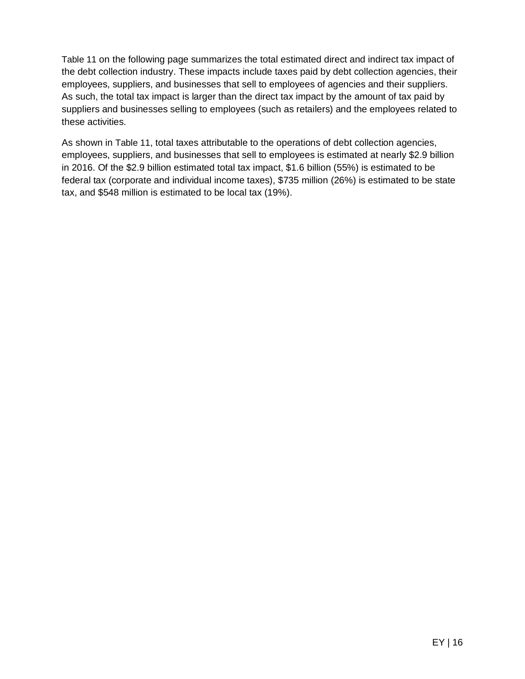Table 11 on the following page summarizes the total estimated direct and indirect tax impact of the debt collection industry. These impacts include taxes paid by debt collection agencies, their employees, suppliers, and businesses that sell to employees of agencies and their suppliers. As such, the total tax impact is larger than the direct tax impact by the amount of tax paid by suppliers and businesses selling to employees (such as retailers) and the employees related to these activities.

As shown in Table 11, total taxes attributable to the operations of debt collection agencies, employees, suppliers, and businesses that sell to employees is estimated at nearly \$2.9 billion in 2016. Of the \$2.9 billion estimated total tax impact, \$1.6 billion (55%) is estimated to be federal tax (corporate and individual income taxes), \$735 million (26%) is estimated to be state tax, and \$548 million is estimated to be local tax (19%).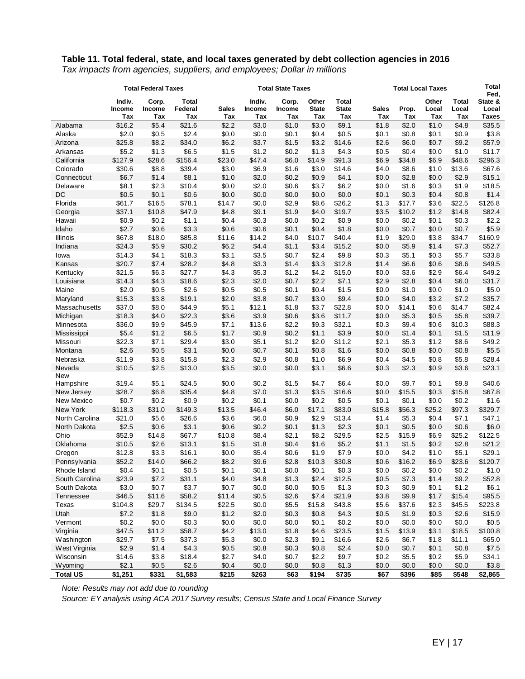### **Table 11. Total federal, state, and local taxes generated by debt collection agencies in 2016** *Tax impacts from agencies, suppliers, and employees; Dollar in millions*

|                              |                         | <b>Total Federal Taxes</b> |                         |                     | <b>Total State Taxes</b> |                        |                              |                                     | <b>Total Local Taxes</b> |                |                       |                       | Total                                    |
|------------------------------|-------------------------|----------------------------|-------------------------|---------------------|--------------------------|------------------------|------------------------------|-------------------------------------|--------------------------|----------------|-----------------------|-----------------------|------------------------------------------|
|                              | Indiv.<br>Income<br>Tax | Corp.<br>Income<br>Tax     | Total<br>Federal<br>Tax | <b>Sales</b><br>Tax | Indiv.<br>Income<br>Tax  | Corp.<br>Income<br>Tax | Other<br><b>State</b><br>Tax | <b>Total</b><br><b>State</b><br>Tax | <b>Sales</b><br>Tax      | Prop.<br>Tax   | Other<br>Local<br>Tax | Total<br>Local<br>Tax | Fed,<br>State &<br>Local<br><b>Taxes</b> |
| Alabama                      | \$16.2                  | \$5.4                      | \$21.6                  | \$2.2               | \$3.0                    | \$1.0                  | \$3.0                        | \$9.1                               | \$1.8                    | \$2.0          | \$1.0                 | \$4.8                 | \$35.5                                   |
| Alaska                       | \$2.0                   | \$0.5                      | \$2.4                   | \$0.0               | \$0.0                    | \$0.1                  | \$0.4                        | \$0.5                               | \$0.1                    | \$0.8          | \$0.1                 | \$0.9                 | \$3.8                                    |
| Arizona                      | \$25.8                  | \$8.2                      | \$34.0                  | \$6.2               | \$3.7                    | \$1.5                  | \$3.2                        | \$14.6                              | \$2.6                    | \$6.0          | \$0.7                 | \$9.2                 | \$57.9                                   |
| Arkansas                     | \$5.2                   | \$1.3                      | \$6.5                   | \$1.5               | \$1.2                    | \$0.2                  | \$1.3                        | \$4.3                               | \$0.5                    | \$0.4          | \$0.0                 | \$1.0                 | \$11.7                                   |
| California                   | \$127.9                 | \$28.6                     | \$156.4                 | \$23.0              | \$47.4                   | \$6.0                  | \$14.9                       | \$91.3                              | \$6.9                    | \$34.8         | \$6.9                 | \$48.6                | \$296.3                                  |
| Colorado                     | \$30.6                  | \$8.8                      | \$39.4                  | \$3.0               | \$6.9                    | \$1.6                  | \$3.0                        | \$14.6                              | \$4.0                    | \$8.6          | \$1.0                 | \$13.6                | \$67.6                                   |
| Connecticut                  | \$6.7                   | \$1.4                      | \$8.1                   | \$1.0               | \$2.0                    | \$0.2                  | \$0.9                        | \$4.1                               | \$0.0                    | \$2.8          | \$0.0                 | \$2.9                 | \$15.1                                   |
| Delaware                     | \$8.1                   | \$2.3                      | \$10.4                  | \$0.0               | \$2.0                    | \$0.6                  | \$3.7                        | \$6.2                               | \$0.0                    | \$1.6          | \$0.3                 | \$1.9                 | \$18.5                                   |
| DC                           | \$0.5                   | \$0.1                      | \$0.6                   | \$0.0               | \$0.0                    | \$0.0                  | \$0.0                        | \$0.0                               | \$0.1                    | \$0.3          | \$0.4                 | \$0.8                 | \$1.4                                    |
| Florida                      | \$61.7                  | \$16.5                     | \$78.1                  | \$14.7              | \$0.0                    | \$2.9                  | \$8.6                        | \$26.2                              | \$1.3                    | \$17.7         | \$3.6                 | \$22.5                | \$126.8                                  |
| Georgia                      | \$37.1                  | \$10.8                     | \$47.9                  | \$4.8               | \$9.1                    | \$1.9                  | \$4.0                        | \$19.7                              | \$3.5                    | \$10.2         | \$1.2                 | \$14.8                | \$82.4                                   |
| Hawaii                       | \$0.9                   | \$0.2                      | \$1.1                   | \$0.4               | \$0.3                    | \$0.0                  | \$0.2                        | \$0.9                               | \$0.0                    | \$0.2          | \$0.1                 | \$0.3                 | \$2.2                                    |
| Idaho                        | \$2.7                   | \$0.6                      | \$3.3                   | \$0.6               | \$0.6                    | \$0.1                  | \$0.4                        | \$1.8                               | \$0.0                    | \$0.7          | \$0.0                 | \$0.7                 | \$5.9                                    |
| Illinois                     | \$67.8                  | \$18.0                     | \$85.8                  | \$11.6              | \$14.2                   | \$4.0                  | \$10.7                       | \$40.4                              | \$1.9                    | \$29.0         | \$3.8                 | \$34.7                | \$160.9                                  |
| Indiana                      | \$24.3                  | \$5.9                      | \$30.2                  | \$6.2               | \$4.4                    | \$1.1                  | \$3.4                        | \$15.2                              | \$0.0                    | \$5.9          | \$1.4                 | \$7.3                 | \$52.7                                   |
| lowa                         | \$14.3                  | \$4.1                      | \$18.3                  | \$3.1               | \$3.5                    | \$0.7                  | \$2.4                        | \$9.8                               | \$0.3                    | \$5.1          | \$0.3                 | \$5.7                 | \$33.8                                   |
| Kansas                       | \$20.7                  | \$7.4                      | \$28.2                  | \$4.8               | \$3.3                    | \$1.4                  | \$3.3                        | \$12.8                              | \$1.4                    | \$6.6          | \$0.6                 | \$8.6                 | \$49.5                                   |
| Kentucky                     | \$21.5                  | \$6.3                      | \$27.7                  | \$4.3               | \$5.3                    | \$1.2                  | \$4.2                        | \$15.0                              | \$0.0                    | \$3.6          | \$2.9                 | \$6.4                 | \$49.2                                   |
| Louisiana                    | \$14.3                  | \$4.3                      | \$18.6                  | \$2.3               | \$2.0                    | \$0.7                  | \$2.2                        | \$7.1                               | \$2.9                    | \$2.8          | \$0.4                 | \$6.0                 | \$31.7                                   |
| Maine                        | \$2.0                   | \$0.5                      | \$2.6                   | \$0.5               | \$0.5                    | \$0.1                  | \$0.4                        | \$1.5                               | \$0.0                    | \$1.0          | \$0.0                 | \$1.0                 | \$5.0                                    |
| Maryland                     | \$15.3                  | \$3.8                      | \$19.1                  | \$2.0               | \$3.8                    | \$0.7                  | \$3.0                        | \$9.4                               | \$0.0                    | \$4.0          | \$3.2                 | \$7.2                 | \$35.7                                   |
| Massachusetts                | \$37.0                  | \$8.0                      | \$44.9                  | \$5.1               | \$12.1                   | \$1.8                  | \$3.7                        | \$22.8                              | \$0.0                    | \$14.1         | \$0.6                 | \$14.7                | \$82.4                                   |
| Michigan                     | \$18.3                  | \$4.0                      | \$22.3                  | \$3.6               | \$3.9                    | \$0.6                  | \$3.6                        | \$11.7                              | \$0.0                    | \$5.3          | \$0.5                 | \$5.8                 | \$39.7                                   |
| Minnesota                    | \$36.0                  | \$9.9                      | \$45.9                  | \$7.1               | \$13.6                   | \$2.2                  | \$9.3                        | \$32.1                              | \$0.3                    | \$9.4          | \$0.6                 | \$10.3                | \$88.3                                   |
| Mississippi                  | \$5.4                   | \$1.2                      | \$6.5                   | \$1.7               | \$0.9                    | \$0.2                  | \$1.1                        | \$3.9                               | \$0.0                    | \$1.4          | \$0.1                 | \$1.5                 | \$11.9                                   |
| Missouri                     | \$22.3                  | \$7.1                      | \$29.4                  | \$3.0               | \$5.1                    | \$1.2                  | \$2.0                        | \$11.2                              | \$2.1                    | \$5.3          | \$1.2                 | \$8.6                 | \$49.2                                   |
| Montana                      | \$2.6                   | \$0.5                      | \$3.1                   | \$0.0               | \$0.7                    | \$0.1                  | \$0.8                        | \$1.6                               | \$0.0                    | \$0.8          | \$0.0                 | \$0.8                 | \$5.5                                    |
| Nebraska                     | \$11.9                  | \$3.8                      | \$15.8                  | \$2.3               | \$2.9                    | \$0.8                  | \$1.0                        | \$6.9                               | \$0.4                    | \$4.5          | \$0.8                 | \$5.8                 | \$28.4                                   |
| Nevada                       | \$10.5                  | \$2.5                      | \$13.0                  | \$3.5               | \$0.0                    | \$0.0                  | \$3.1                        | \$6.6                               | \$0.3                    | \$2.3          | \$0.9                 | \$3.6                 | \$23.1                                   |
| New                          |                         |                            |                         |                     |                          |                        |                              |                                     |                          |                |                       |                       |                                          |
| Hampshire                    | \$19.4                  | \$5.1                      | \$24.5                  | \$0.0               | \$0.2                    | \$1.5                  | \$4.7                        | \$6.4                               | \$0.0                    | \$9.7          | \$0.1                 | \$9.8                 | \$40.6                                   |
| New Jersey                   | \$28.7                  | \$6.8                      | \$35.4                  | \$4.8               | \$7.0                    | \$1.3                  | \$3.5                        | \$16.6                              | \$0.0                    | \$15.5         | \$0.3                 | \$15.8                | \$67.8                                   |
| New Mexico                   | \$0.7                   | \$0.2                      | \$0.9                   | \$0.2               | \$0.1                    | \$0.0                  | \$0.2                        | \$0.5                               | \$0.1                    | \$0.1          | \$0.0                 | \$0.2                 | \$1.6                                    |
| New York                     | \$118.3                 | \$31.0                     | \$149.3                 | \$13.5              | \$46.4                   | \$6.0                  | \$17.1                       | \$83.0                              | \$15.8                   | \$56.3         | \$25.2                | \$97.3                | \$329.7                                  |
| North Carolina               | \$21.0                  | \$5.6                      | \$26.6                  | \$3.6               | \$6.0                    | \$0.9                  | \$2.9                        | \$13.4                              | \$1.4                    | \$5.3          | \$0.4                 | \$7.1                 | \$47.1                                   |
| North Dakota                 | \$2.5                   | \$0.6                      | \$3.1                   | \$0.6               | \$0.2                    | \$0.1                  | \$1.3                        | \$2.3                               | \$0.1                    | \$0.5          | \$0.0                 | \$0.6                 | \$6.0                                    |
| Ohio                         | \$52.9<br>\$10.5        | \$14.8                     | \$67.7                  | \$10.8              | \$8.4                    | \$2.1                  | \$8.2                        | \$29.5                              | \$2.5                    | \$15.9         | \$6.9                 | \$25.2                | \$122.5                                  |
| Oklahoma                     |                         | \$2.6                      | \$13.1                  | \$1.5               | \$1.8                    | \$0.4                  | \$1.6                        | \$5.2                               | \$1.1                    | \$1.5          | \$0.2                 | \$2.8                 | \$21.2                                   |
| Oregon                       | \$12.8                  | \$3.3                      | \$16.1                  | \$0.0               | \$5.4                    | \$0.6                  | \$1.9<br>\$10.3              | \$7.9<br>\$30.8                     | \$0.0                    | \$4.2          | \$1.0<br>\$6.9        | \$5.1                 | \$29.1                                   |
| Pennsylvania<br>Rhode Island | \$52.2                  | \$14.0                     | \$66.2                  | \$8.2               | \$9.6                    | \$2.8                  |                              |                                     | \$0.6                    | \$16.2         |                       | \$23.6                | \$120.7                                  |
|                              | \$0.4                   | \$0.1                      | \$0.5                   | \$0.1               | \$0.1                    | \$0.0                  | \$0.1                        | \$0.3                               | \$0.0                    | \$0.2          | \$0.0                 | \$0.2                 | \$1.0                                    |
| South Carolina               | \$23.9                  | \$7.2                      | \$31.1                  | \$4.0               | \$4.8                    | \$1.3                  | \$2.4                        | \$12.5                              | \$0.5                    | \$7.3          | \$1.4                 | \$9.2                 | \$52.8                                   |
| South Dakota                 | \$3.0<br>\$46.5         | \$0.7<br>\$11.6            | \$3.7                   | \$0.7               | \$0.0                    | \$0.0<br>\$2.6         | \$0.5<br>\$7.4               | \$1.3                               | \$0.3<br>\$3.8           | \$0.9<br>\$9.9 | \$0.1<br>\$1.7        | \$1.2                 | \$6.1                                    |
| Tennessee<br>Texas           |                         | \$29.7                     | \$58.2                  | \$11.4              | \$0.5<br>\$0.0           | \$5.5                  | \$15.8                       | \$21.9                              |                          |                | \$2.3                 | \$15.4                | \$95.5                                   |
| Utah                         | \$104.8                 |                            | \$134.5                 | \$22.5              |                          |                        |                              | \$43.8                              | \$5.6                    | \$37.6         |                       | \$45.5                | \$223.8                                  |
| Vermont                      | \$7.2<br>\$0.2          | \$1.8<br>\$0.0             | \$9.0<br>\$0.3\$        | \$1.2<br>\$0.0      | \$2.0<br>\$0.0           | \$0.3<br>\$0.0         | \$0.8<br>\$0.1               | \$4.3<br>\$0.2                      | \$0.5<br>\$0.0           | \$1.9<br>\$0.0 | \$0.3<br>\$0.0        | \$2.6<br>\$0.0        | \$15.9<br>\$0.5                          |
| Virginia                     | \$47.5                  | \$11.2                     | \$58.7                  | \$4.2               | \$13.0                   | \$1.8                  | \$4.6                        | \$23.5                              | \$1.5                    | \$13.9         | \$3.1                 | \$18.5                | \$100.8                                  |
| Washington                   | \$29.7                  | \$7.5                      | \$37.3                  | \$5.3               | \$0.0                    | \$2.3                  | \$9.1                        | \$16.6                              | \$2.6                    | \$6.7          | \$1.8                 | \$11.1                | \$65.0                                   |
| West Virginia                | \$2.9                   | \$1.4                      | \$4.3                   | \$0.5               | \$0.8                    | \$0.3                  | \$0.8                        | \$2.4                               | \$0.0                    | \$0.7          | \$0.1                 | \$0.8                 | \$7.5                                    |
| Wisconsin                    | \$14.6                  | \$3.8                      | \$18.4                  | \$2.7               | \$4.0                    | \$0.7                  | \$2.2                        | \$9.7                               | \$0.2                    | \$5.5          | \$0.2                 | \$5.9                 | \$34.1                                   |
| Wyoming                      | \$2.1                   | \$0.5                      | \$2.6                   | \$0.4               | \$0.0                    | \$0.0                  | \$0.8                        | \$1.3                               | \$0.0                    | \$0.0          | \$0.0                 | \$0.0                 | \$3.8                                    |
| <b>Total US</b>              | \$1,251                 | \$331                      | \$1,583                 | \$215               | \$263                    | \$63                   | \$194                        | \$735                               | \$67                     | \$396          | \$85                  | \$548                 | \$2,865                                  |

*Note: Results may not add due to rounding*

*Source: EY analysis using ACA 2017 Survey results; Census State and Local Finance Survey*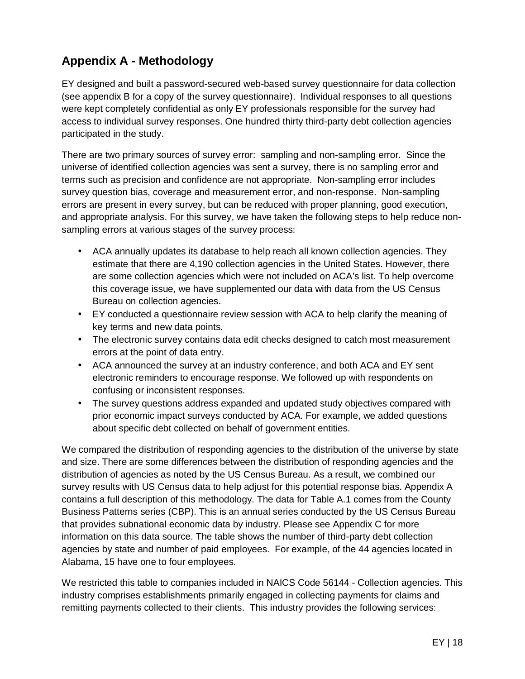# **Appendix A - Methodology**

EY designed and built a password-secured web-based survey questionnaire for data collection (see appendix B for a copy of the survey questionnaire). Individual responses to all questions were kept completely confidential as only EY professionals responsible for the survey had access to individual survey responses. One hundred thirty third-party debt collection agencies participated in the study.

There are two primary sources of survey error: sampling and non-sampling error. Since the universe of identified collection agencies was sent a survey, there is no sampling error and terms such as precision and confidence are not appropriate. Non-sampling error includes survey question bias, coverage and measurement error, and non-response. Non-sampling errors are present in every survey, but can be reduced with proper planning, good execution, and appropriate analysis. For this survey, we have taken the following steps to help reduce nonsampling errors at various stages of the survey process:

- ACA annually updates its database to help reach all known collection agencies. They estimate that there are 4,190 collection agencies in the United States. However, there are some collection agencies which were not included on ACA's list. To help overcome this coverage issue, we have supplemented our data with data from the US Census Bureau on collection agencies.
- EY conducted a questionnaire review session with ACA to help clarify the meaning of key terms and new data points.
- The electronic survey contains data edit checks designed to catch most measurement errors at the point of data entry.
- ACA announced the survey at an industry conference, and both ACA and EY sent electronic reminders to encourage response. We followed up with respondents on confusing or inconsistent responses.
- The survey questions address expanded and updated study objectives compared with prior economic impact surveys conducted by ACA. For example, we added questions about specific debt collected on behalf of government entities.

We compared the distribution of responding agencies to the distribution of the universe by state and size. There are some differences between the distribution of responding agencies and the distribution of agencies as noted by the US Census Bureau. As a result, we combined our survey results with US Census data to help adjust for this potential response bias. Appendix A contains a full description of this methodology. The data for Table A.1 comes from the County Business Patterns series (CBP). This is an annual series conducted by the US Census Bureau that provides subnational economic data by industry. Please see Appendix C for more information on this data source. The table shows the number of third-party debt collection agencies by state and number of paid employees. For example, of the 44 agencies located in Alabama, 15 have one to four employees.

We restricted this table to companies included in NAICS Code 56144 - Collection agencies. This industry comprises establishments primarily engaged in collecting payments for claims and remitting payments collected to their clients. This industry provides the following services: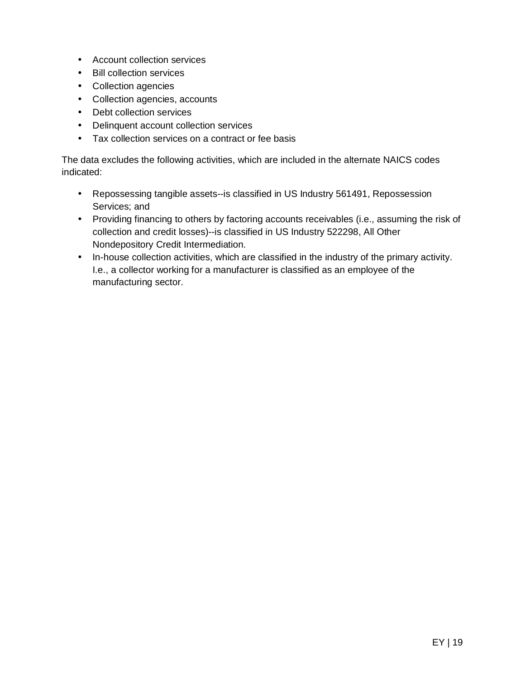- Account collection services
- **Bill collection services**
- Collection agencies
- Collection agencies, accounts
- Debt collection services
- Delinquent account collection services
- Tax collection services on a contract or fee basis

The data excludes the following activities, which are included in the alternate NAICS codes indicated:

- Repossessing tangible assets--is classified in US Industry 561491, Repossession Services; and
- Providing financing to others by factoring accounts receivables (i.e., assuming the risk of collection and credit losses)--is classified in US Industry 522298, All Other Nondepository Credit Intermediation.
- In-house collection activities, which are classified in the industry of the primary activity. I.e., a collector working for a manufacturer is classified as an employee of the manufacturing sector.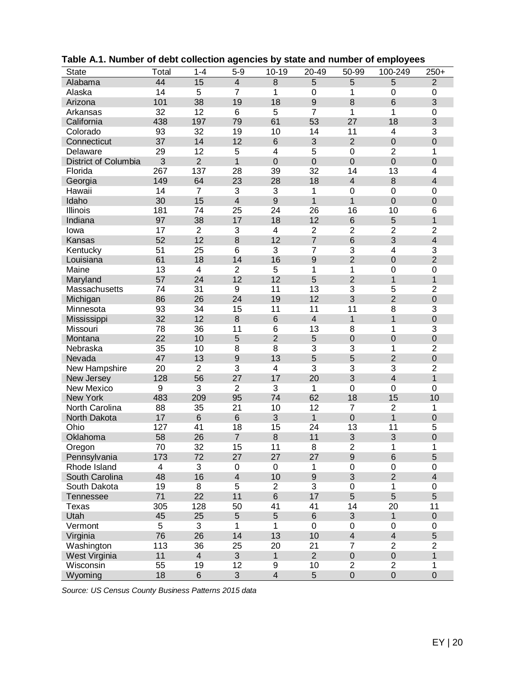| <b>State</b>         | Total           | $1 - 4$        | $5-9$           | $10 - 19$      | 20-49          | 50-99          | 100-249                 | $250+$         |
|----------------------|-----------------|----------------|-----------------|----------------|----------------|----------------|-------------------------|----------------|
| Alabama              | $\overline{44}$ | 15             | $\overline{4}$  | 8              | $\overline{5}$ | 5              | $\overline{5}$          | $\overline{2}$ |
| Alaska               | 14              | 5              | $\overline{7}$  | $\mathbf{1}$   | 0              | 1              | 0                       | $\pmb{0}$      |
| Arizona              | 101             | 38             | 19              | 18             | $\mathsf 9$    | $\bf 8$        | 6                       | 3              |
| Arkansas             | 32              | 12             | $6\phantom{1}6$ | 5              | $\overline{7}$ | 1              | 1                       | 0              |
| California           | 438             | 197            | 79              | 61             | 53             | 27             | 18                      | 3              |
| Colorado             | 93              | 32             | 19              | 10             | 14             | 11             | 4                       | 3              |
| Connecticut          | 37              | 14             | 12              | $6\phantom{1}$ | $\sqrt{3}$     | $\overline{2}$ | $\overline{0}$          | $\overline{0}$ |
| Delaware             | 29              | 12             | 5               | 4              | 5              | $\mathbf 0$    | $\overline{2}$          | 1              |
| District of Columbia | 3               | $\overline{2}$ | $\mathbf{1}$    | $\mathbf 0$    | $\mathbf 0$    | $\mathbf 0$    | $\overline{0}$          | $\overline{0}$ |
| Florida              | 267             | 137            | 28              | 39             | 32             | 14             | 13                      | 4              |
| Georgia              | 149             | 64             | 23              | 28             | 18             | $\overline{4}$ | 8                       | $\overline{4}$ |
| Hawaii               | 14              | $\overline{7}$ | 3               | 3              | 1              | $\mathbf 0$    | $\mathbf 0$             | 0              |
| Idaho                | 30              | 15             | $\overline{4}$  | $\overline{9}$ | $\overline{1}$ | $\overline{1}$ | $\overline{0}$          | $\mathbf 0$    |
| Illinois             | 181             | 74             | 25              | 24             | 26             | 16             | 10                      | 6              |
| Indiana              | 97              | 38             | 17              | 18             | 12             | $6\phantom{1}$ | 5                       | $\mathbf{1}$   |
| lowa                 | 17              | $\overline{2}$ | 3               | 4              | $\overline{2}$ | $\overline{2}$ | $\overline{2}$          | $\overline{2}$ |
| Kansas               | 52              | 12             | 8               | 12             | $\overline{7}$ | $6\phantom{1}$ | 3                       | $\overline{4}$ |
| Kentucky             | 51              | 25             | 6               | $\overline{3}$ | 7              | 3              | 4                       | 3              |
| Louisiana            | 61              | 18             | 14              | 16             | $\overline{9}$ | $\overline{2}$ | $\overline{0}$          | $\overline{2}$ |
| Maine                | 13              | 4              | $\overline{2}$  | 5              | 1              | 1              | 0                       | 0              |
| Maryland             | 57              | 24             | 12              | 12             | 5              | $\overline{2}$ | 1                       | $\mathbf{1}$   |
| Massachusetts        | 74              | 31             | 9               | 11             | 13             | 3              | 5                       | $\overline{2}$ |
| Michigan             | 86              | 26             | 24              | 19             | 12             | 3              | $\overline{2}$          | $\overline{0}$ |
| Minnesota            | 93              | 34             | 15              | 11             | 11             | 11             | 8                       | 3              |
| Mississippi          | 32              | 12             | 8               | $6\phantom{1}$ | $\overline{4}$ | $\mathbf{1}$   | $\mathbf{1}$            | $\mathbf 0$    |
| Missouri             | 78              | 36             | 11              | 6              | 13             | 8              | 1                       | 3              |
| Montana              | 22              | 10             | 5               | $\overline{2}$ | 5              | $\mathbf 0$    | $\overline{0}$          | $\overline{0}$ |
| Nebraska             | 35              | 10             | 8               | 8              | 3              | 3              | 1                       | $\overline{2}$ |
| Nevada               | 47              | 13             | 9               | 13             | 5              | 5              | $\overline{2}$          | $\overline{0}$ |
| New Hampshire        | 20              | $\overline{2}$ | 3               | 4              | 3              | 3              | 3                       | $\overline{2}$ |
| New Jersey           | 128             | 56             | 27              | 17             | 20             | 3              | $\overline{\mathbf{4}}$ | $\mathbf{1}$   |
| New Mexico           | 9               | 3              | $\overline{2}$  | 3              | 1              | $\mathbf 0$    | 0                       | 0              |
| New York             | 483             | 209            | 95              | 74             | 62             | 18             | 15                      | 10             |
| North Carolina       | 88              | 35             | 21              | 10             | 12             | $\overline{7}$ | $\overline{2}$          | 1              |
| North Dakota         | 17              | 6              | 6               | 3              | $\overline{1}$ | $\mathbf 0$    | $\overline{1}$          | $\overline{0}$ |
| Ohio                 | 127             | 41             | 18              | 15             | 24             | 13             | 11                      | 5              |
| Oklahoma             | 58              | 26             | $\overline{7}$  | 8              | 11             | $\mathfrak{S}$ | 3                       | $\mathbf 0$    |
| Oregon               | 70              | 32             | 15              | 11             | 8              | $\overline{2}$ | 1                       | 1              |
| Pennsylvania         | 173             | 72             | 27              | 27             | 27             | $9\,$          | 6                       | 5              |
| Rhode Island         | 4               | 3              | 0               | 0              | 1              | 0              | 0                       | 0              |
| South Carolina       | 48              | 16             | $\overline{4}$  | 10             | $\overline{9}$ | 3              | $\overline{2}$          | $\overline{4}$ |
| South Dakota         | 19              | 8              | 5               | $\overline{2}$ | 3              | 0              | 1                       | 0              |
| Tennessee            | 71              | 22             | 11              | $\,6$          | 17             | 5              | 5                       | 5              |
| Texas                | 305             | 128            | 50              | 41             | 41             | 14             | 20                      | 11             |
| Utah                 | 45              | 25             | 5               | 5              | 6              | 3              | 1                       | $\mathbf 0$    |
| Vermont              | 5               | 3              | 1               | $\mathbf 1$    | 0              | $\Omega$       | 0                       | 0              |
| Virginia             | 76              | 26             | 14              | 13             | 10             | $\overline{4}$ | $\overline{4}$          | 5              |
| Washington           | 113             | 36             | 25              | 20             | 21             | $\overline{7}$ | $\overline{2}$          | $\overline{2}$ |
| West Virginia        | 11              | $\overline{4}$ | 3               | $\mathbf{1}$   | $\overline{2}$ | $\pmb{0}$      | $\pmb{0}$               | $\mathbf{1}$   |
| Wisconsin            | 55              | 19             | 12              | 9              | 10             | $\overline{2}$ | $\overline{2}$          | 1              |
| Wyoming              | 18              | 6              | 3               | $\overline{4}$ | 5              | $\pmb{0}$      | 0                       | $\pmb{0}$      |

**Table A.1. Number of debt collection agencies by state and number of employees**

*Source: US Census County Business Patterns 2015 data*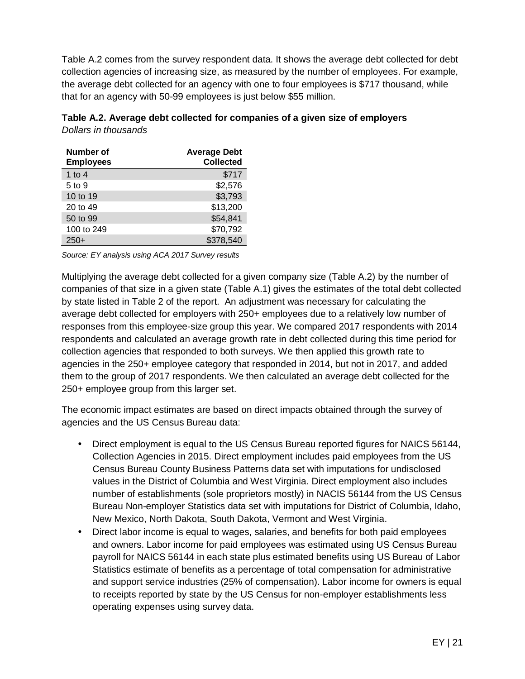Table A.2 comes from the survey respondent data. It shows the average debt collected for debt collection agencies of increasing size, as measured by the number of employees. For example, the average debt collected for an agency with one to four employees is \$717 thousand, while that for an agency with 50-99 employees is just below \$55 million.

| Table A.2. Average debt collected for companies of a given size of employers |
|------------------------------------------------------------------------------|
| Dollars in thousands                                                         |

| <b>Number of</b><br><b>Employees</b> | <b>Average Debt</b><br><b>Collected</b> |
|--------------------------------------|-----------------------------------------|
| 1 to 4                               | \$717                                   |
| 5 to 9                               | \$2,576                                 |
| 10 to 19                             | \$3,793                                 |
| 20 to 49                             | \$13,200                                |
| 50 to 99                             | \$54,841                                |
| 100 to 249                           | \$70,792                                |
| $250+$                               | \$378,540                               |

*Source: EY analysis using ACA 2017 Survey results*

Multiplying the average debt collected for a given company size (Table A.2) by the number of companies of that size in a given state (Table A.1) gives the estimates of the total debt collected by state listed in Table 2 of the report. An adjustment was necessary for calculating the average debt collected for employers with 250+ employees due to a relatively low number of responses from this employee-size group this year. We compared 2017 respondents with 2014 respondents and calculated an average growth rate in debt collected during this time period for collection agencies that responded to both surveys. We then applied this growth rate to agencies in the 250+ employee category that responded in 2014, but not in 2017, and added them to the group of 2017 respondents. We then calculated an average debt collected for the 250+ employee group from this larger set.

The economic impact estimates are based on direct impacts obtained through the survey of agencies and the US Census Bureau data:

- Direct employment is equal to the US Census Bureau reported figures for NAICS 56144, Collection Agencies in 2015. Direct employment includes paid employees from the US Census Bureau County Business Patterns data set with imputations for undisclosed values in the District of Columbia and West Virginia. Direct employment also includes number of establishments (sole proprietors mostly) in NACIS 56144 from the US Census Bureau Non-employer Statistics data set with imputations for District of Columbia, Idaho, New Mexico, North Dakota, South Dakota, Vermont and West Virginia.
- Direct labor income is equal to wages, salaries, and benefits for both paid employees and owners. Labor income for paid employees was estimated using US Census Bureau payroll for NAICS 56144 in each state plus estimated benefits using US Bureau of Labor Statistics estimate of benefits as a percentage of total compensation for administrative and support service industries (25% of compensation). Labor income for owners is equal to receipts reported by state by the US Census for non-employer establishments less operating expenses using survey data.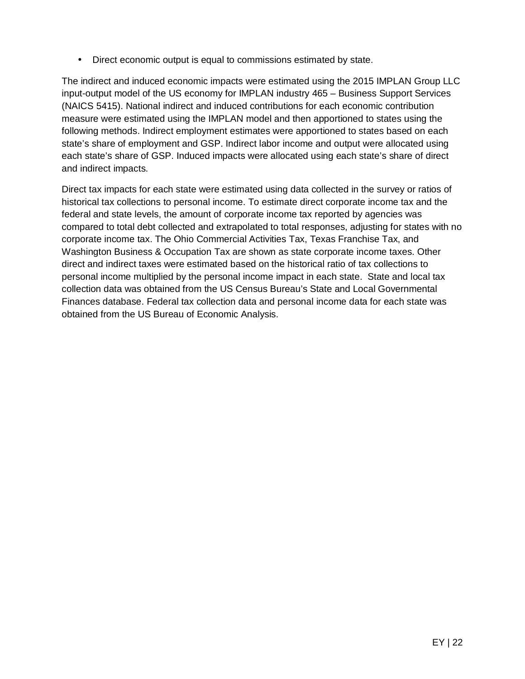Direct economic output is equal to commissions estimated by state.

The indirect and induced economic impacts were estimated using the 2015 IMPLAN Group LLC input-output model of the US economy for IMPLAN industry 465 – Business Support Services (NAICS 5415). National indirect and induced contributions for each economic contribution measure were estimated using the IMPLAN model and then apportioned to states using the following methods. Indirect employment estimates were apportioned to states based on each state's share of employment and GSP. Indirect labor income and output were allocated using each state's share of GSP. Induced impacts were allocated using each state's share of direct and indirect impacts.

Direct tax impacts for each state were estimated using data collected in the survey or ratios of historical tax collections to personal income. To estimate direct corporate income tax and the federal and state levels, the amount of corporate income tax reported by agencies was compared to total debt collected and extrapolated to total responses, adjusting for states with no corporate income tax. The Ohio Commercial Activities Tax, Texas Franchise Tax, and Washington Business & Occupation Tax are shown as state corporate income taxes. Other direct and indirect taxes were estimated based on the historical ratio of tax collections to personal income multiplied by the personal income impact in each state. State and local tax collection data was obtained from the US Census Bureau's State and Local Governmental Finances database. Federal tax collection data and personal income data for each state was obtained from the US Bureau of Economic Analysis.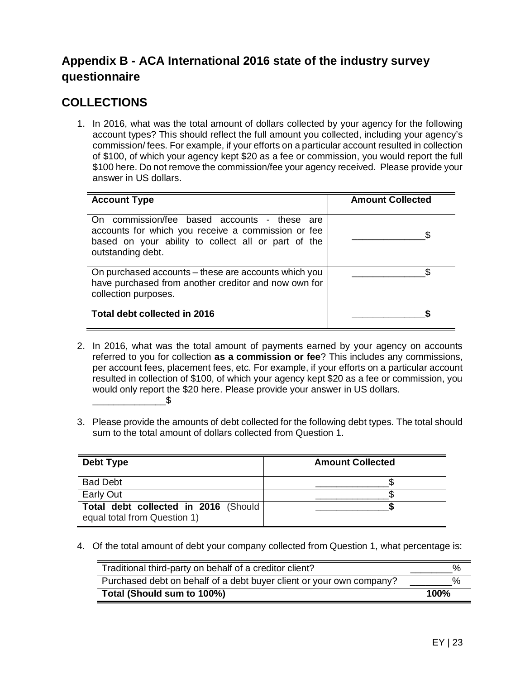### **Appendix B - ACA International 2016 state of the industry survey questionnaire**

### **COLLECTIONS**

1. In 2016, what was the total amount of dollars collected by your agency for the following account types? This should reflect the full amount you collected, including your agency's commission/ fees. For example, if your efforts on a particular account resulted in collection of \$100, of which your agency kept \$20 as a fee or commission, you would report the full \$100 here. Do not remove the commission/fee your agency received. Please provide your answer in US dollars.

| <b>Account Type</b>                                                                                                                                                            | <b>Amount Collected</b> |
|--------------------------------------------------------------------------------------------------------------------------------------------------------------------------------|-------------------------|
| On commission/fee based accounts - these are<br>accounts for which you receive a commission or fee<br>based on your ability to collect all or part of the<br>outstanding debt. |                         |
| On purchased accounts – these are accounts which you<br>have purchased from another creditor and now own for<br>collection purposes.                                           |                         |
| Total debt collected in 2016                                                                                                                                                   |                         |

- 2. In 2016, what was the total amount of payments earned by your agency on accounts referred to you for collection **as a commission or fee**? This includes any commissions, per account fees, placement fees, etc. For example, if your efforts on a particular account resulted in collection of \$100, of which your agency kept \$20 as a fee or commission, you would only report the \$20 here. Please provide your answer in US dollars. \_\_\_\_\_\_\_\_\_\_\_\_\_\_\$
- 3. Please provide the amounts of debt collected for the following debt types. The total should sum to the total amount of dollars collected from Question 1.

| Debt Type                                                            | <b>Amount Collected</b> |
|----------------------------------------------------------------------|-------------------------|
| <b>Bad Debt</b>                                                      |                         |
| Early Out                                                            |                         |
| Total debt collected in 2016 (Should<br>equal total from Question 1) |                         |

4. Of the total amount of debt your company collected from Question 1, what percentage is:

| Traditional third-party on behalf of a creditor client?              |      |
|----------------------------------------------------------------------|------|
| Purchased debt on behalf of a debt buyer client or your own company? | %    |
| Total (Should sum to 100%)                                           | 100% |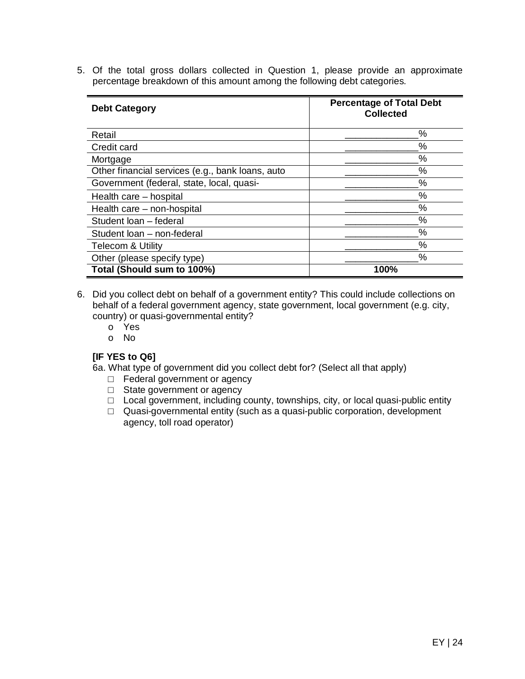5. Of the total gross dollars collected in Question 1, please provide an approximate percentage breakdown of this amount among the following debt categories.

| <b>Debt Category</b>                             | <b>Percentage of Total Debt</b><br><b>Collected</b> |  |
|--------------------------------------------------|-----------------------------------------------------|--|
| Retail                                           | $\%$                                                |  |
| Credit card                                      | %                                                   |  |
| Mortgage                                         | %                                                   |  |
| Other financial services (e.g., bank loans, auto | %                                                   |  |
| Government (federal, state, local, quasi-        | $\%$                                                |  |
| Health care – hospital                           | %                                                   |  |
| Health care - non-hospital                       | %                                                   |  |
| Student loan – federal                           | $\%$                                                |  |
| Student loan - non-federal                       | %                                                   |  |
| <b>Telecom &amp; Utility</b>                     | %                                                   |  |
| Other (please specify type)                      | %                                                   |  |
| Total (Should sum to 100%)                       | 100%                                                |  |

- 6. Did you collect debt on behalf of a government entity? This could include collections on behalf of a federal government agency, state government, local government (e.g. city, country) or quasi-governmental entity?
	- o Yes
	- o No

### **[IF YES to Q6]**

6a. What type of government did you collect debt for? (Select all that apply)

- □ Federal government or agency
- □ State government or agency
- □ Local government, including county, townships, city, or local quasi-public entity
- □ Quasi-governmental entity (such as a quasi-public corporation, development agency, toll road operator)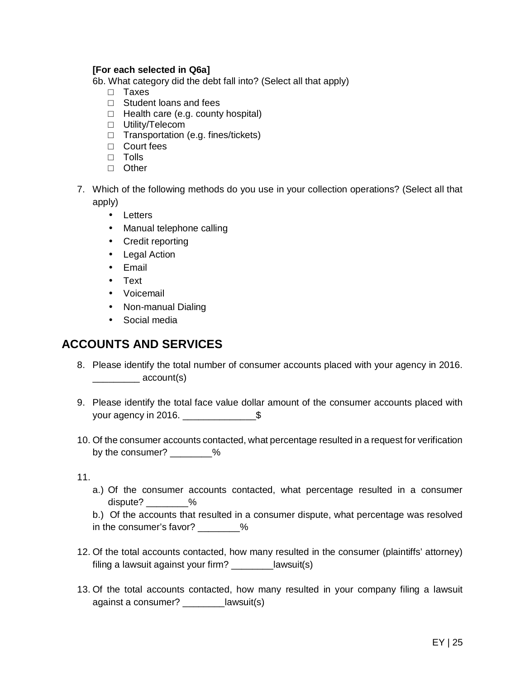### **[For each selected in Q6a]**

- 6b. What category did the debt fall into? (Select all that apply)
	- □ Taxes
	- □ Student loans and fees
	- $\Box$  Health care (e.g. county hospital)
	- □ Utility/Telecom
	- □ Transportation (e.g. fines/tickets)
	- □ Court fees
	- □ Tolls
	- □ Other
- 7. Which of the following methods do you use in your collection operations? (Select all that apply)
	- . Letters
	- Manual telephone calling
	- Credit reporting
	- . Legal Action
	- Email
	- Text
	- Voicemail
	- Non-manual Dialing
	- Social media

### **ACCOUNTS AND SERVICES**

- 8. Please identify the total number of consumer accounts placed with your agency in 2016.  $=$  account(s)
- 9. Please identify the total face value dollar amount of the consumer accounts placed with your agency in 2016. \_\_\_\_\_\_\_\_\_\_\_\_\_\_\$
- 10. Of the consumer accounts contacted, what percentage resulted in a request for verification by the consumer?  $\%$

11.

a.) Of the consumer accounts contacted, what percentage resulted in a consumer dispute?  $\%$ 

b.) Of the accounts that resulted in a consumer dispute, what percentage was resolved in the consumer's favor? \_\_\_\_\_\_\_\_%

- 12. Of the total accounts contacted, how many resulted in the consumer (plaintiffs' attorney) filing a lawsuit against your firm? \_\_\_\_\_\_\_\_lawsuit(s)
- 13. Of the total accounts contacted, how many resulted in your company filing a lawsuit against a consumer? \_\_\_\_\_\_\_\_lawsuit(s)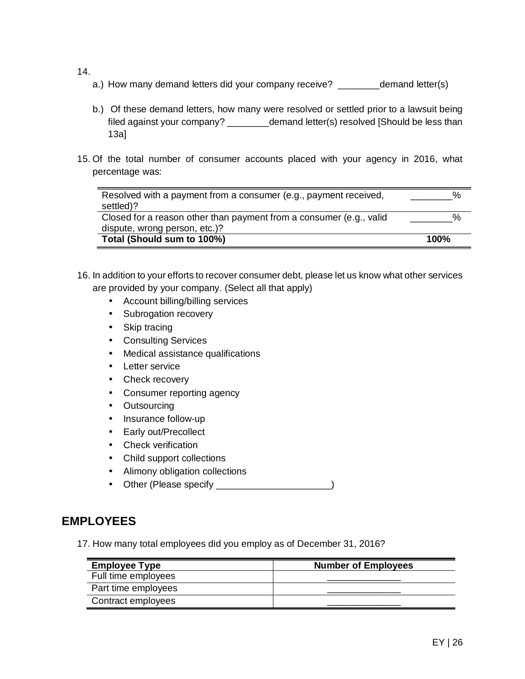14.

- a.) How many demand letters did your company receive? \_\_\_\_\_\_\_\_\_ demand letter(s)
- b.) Of these demand letters, how many were resolved or settled prior to a lawsuit being filed against your company? \_\_\_\_\_\_\_demand letter(s) resolved [Should be less than 13a]
- 15. Of the total number of consumer accounts placed with your agency in 2016, what percentage was:

| Resolved with a payment from a consumer (e.g., payment received,<br>settled)?                        | $\%$ |
|------------------------------------------------------------------------------------------------------|------|
| Closed for a reason other than payment from a consumer (e.g., valid<br>dispute, wrong person, etc.)? | %    |
| Total (Should sum to 100%)                                                                           | 100% |

- 16. In addition to your efforts to recover consumer debt, please let us know what other services are provided by your company. (Select all that apply)
	- Account billing/billing services
	- Subrogation recovery
	- . Skip tracing
	- Consulting Services
	- Medical assistance qualifications
	- . Letter service
	- Check recovery
	- Consumer reporting agency
	- Outsourcing
	- . Insurance follow-up
	- Early out/Precollect
	- Check verification
	- Child support collections
	- Alimony obligation collections
	- . Other (Please specify \_\_\_\_\_\_\_\_\_\_\_\_\_\_\_\_\_\_\_\_\_\_)

### **EMPLOYEES**

17. How many total employees did you employ as of December 31, 2016?

| <b>Employee Type</b> | <b>Number of Employees</b> |
|----------------------|----------------------------|
| Full time employees  |                            |
| Part time employees  |                            |
| Contract employees   |                            |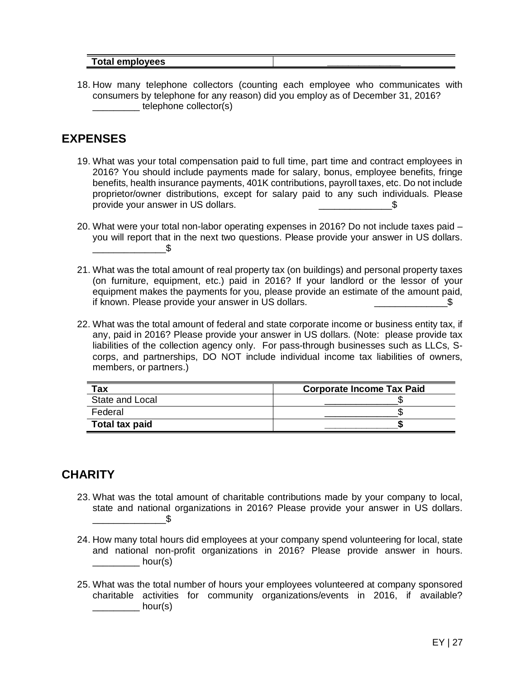| .<br>. . <i>. .</i><br>_<br>---<br> | ____ |
|-------------------------------------|------|
|                                     |      |

18. How many telephone collectors (counting each employee who communicates with consumers by telephone for any reason) did you employ as of December 31, 2016? \_\_\_\_\_\_\_\_\_ telephone collector(s)

### **EXPENSES**

- 19. What was your total compensation paid to full time, part time and contract employees in 2016? You should include payments made for salary, bonus, employee benefits, fringe benefits, health insurance payments, 401K contributions, payroll taxes, etc. Do not include proprietor/owner distributions, except for salary paid to any such individuals. Please provide your answer in US dollars.  $\sim$
- 20. What were your total non-labor operating expenses in 2016? Do not include taxes paid you will report that in the next two questions. Please provide your answer in US dollars.  $\sim$   $\sim$   $\sim$
- 21. What was the total amount of real property tax (on buildings) and personal property taxes (on furniture, equipment, etc.) paid in 2016? If your landlord or the lessor of your equipment makes the payments for you, please provide an estimate of the amount paid, if known. Please provide your answer in US dollars.  $\sim$
- 22. What was the total amount of federal and state corporate income or business entity tax, if any, paid in 2016? Please provide your answer in US dollars. (Note: please provide tax liabilities of the collection agency only. For pass-through businesses such as LLCs, Scorps, and partnerships, DO NOT include individual income tax liabilities of owners, members, or partners.)

| Tax             | <b>Corporate Income Tax Paid</b> |
|-----------------|----------------------------------|
| State and Local |                                  |
| Federal         |                                  |
| Total tax paid  |                                  |

### **CHARITY**

- 23. What was the total amount of charitable contributions made by your company to local, state and national organizations in 2016? Please provide your answer in US dollars.  $\mathfrak s$
- 24. How many total hours did employees at your company spend volunteering for local, state and national non-profit organizations in 2016? Please provide answer in hours.  $\frac{1}{\sqrt{2}}$  hour(s)
- 25. What was the total number of hours your employees volunteered at company sponsored charitable activities for community organizations/events in 2016, if available?  $\sqrt{2}$  hour(s)